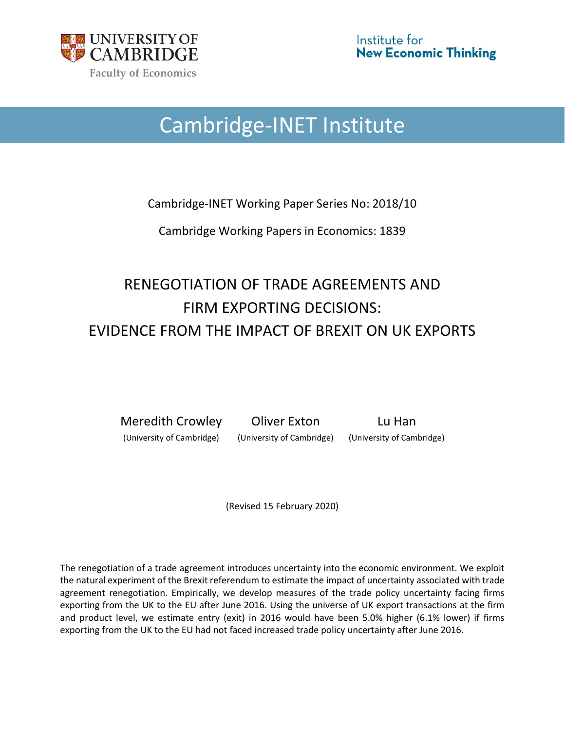

# Cambridge-INET Institute

Cambridge-INET Working Paper Series No: 2018/10

Cambridge Working Papers in Economics: 1839

# RENEGOTIATION OF TRADE AGREEMENTS AND FIRM EXPORTING DECISIONS: EVIDENCE FROM THE IMPACT OF BREXIT ON UK EXPORTS

Meredith Crowley Oliver Exton Lu Han (University of Cambridge) (University of Cambridge) (University of Cambridge)

(Revised 15 February 2020)

The renegotiation of a trade agreement introduces uncertainty into the economic environment. We exploit the natural experiment of the Brexit referendum to estimate the impact of uncertainty associated with trade agreement renegotiation. Empirically, we develop measures of the trade policy uncertainty facing firms exporting from the UK to the EU after June 2016. Using the universe of UK export transactions at the firm and product level, we estimate entry (exit) in 2016 would have been 5.0% higher (6.1% lower) if firms exporting from the UK to the EU had not faced increased trade policy uncertainty after June 2016.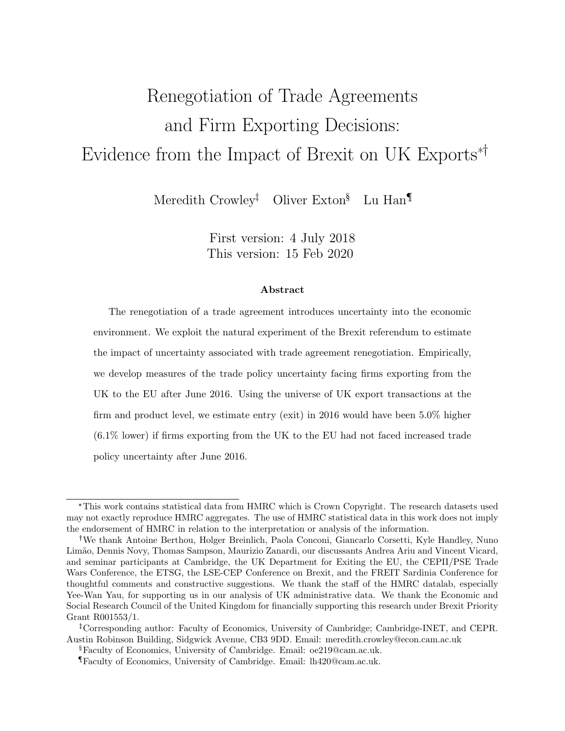# Renegotiation of Trade Agreements and Firm Exporting Decisions: Evidence from the Impact of Brexit on UK Exports<sup>\*†</sup>

Meredith Crowley<sup>‡</sup> Oliver Exton<sup>§</sup> Lu Han<sup>¶</sup>

First version: 4 July 2018 This version: 15 Feb 2020

#### Abstract

The renegotiation of a trade agreement introduces uncertainty into the economic environment. We exploit the natural experiment of the Brexit referendum to estimate the impact of uncertainty associated with trade agreement renegotiation. Empirically, we develop measures of the trade policy uncertainty facing firms exporting from the UK to the EU after June 2016. Using the universe of UK export transactions at the firm and product level, we estimate entry (exit) in 2016 would have been 5.0% higher (6.1% lower) if firms exporting from the UK to the EU had not faced increased trade policy uncertainty after June 2016.

<sup>\*</sup>This work contains statistical data from HMRC which is Crown Copyright. The research datasets used may not exactly reproduce HMRC aggregates. The use of HMRC statistical data in this work does not imply the endorsement of HMRC in relation to the interpretation or analysis of the information.

We thank Antoine Berthou, Holger Breinlich, Paola Conconi, Giancarlo Corsetti, Kyle Handley, Nuno Limão, Dennis Novy, Thomas Sampson, Maurizio Zanardi, our discussants Andrea Ariu and Vincent Vicard, and seminar participants at Cambridge, the UK Department for Exiting the EU, the CEPII/PSE Trade Wars Conference, the ETSG, the LSE-CEP Conference on Brexit, and the FREIT Sardinia Conference for thoughtful comments and constructive suggestions. We thank the staff of the HMRC datalab, especially Yee-Wan Yau, for supporting us in our analysis of UK administrative data. We thank the Economic and Social Research Council of the United Kingdom for financially supporting this research under Brexit Priority Grant R001553/1.

Corresponding author: Faculty of Economics, University of Cambridge; Cambridge-INET, and CEPR. Austin Robinson Building, Sidgwick Avenue, CB3 9DD. Email: meredith.crowley@econ.cam.ac.uk

<sup>§</sup>Faculty of Economics, University of Cambridge. Email: oe219@cam.ac.uk.

<sup>¶</sup>Faculty of Economics, University of Cambridge. Email: lh420@cam.ac.uk.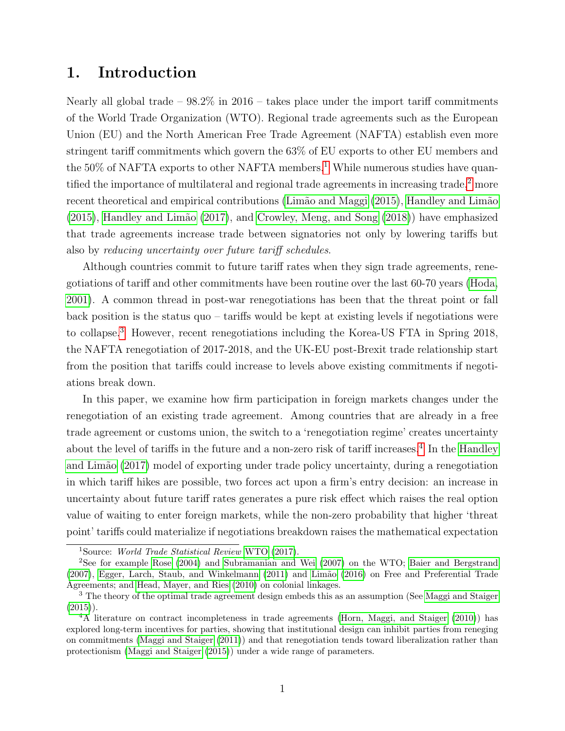# 1. Introduction

Nearly all global trade  $-98.2\%$  in 2016 – takes place under the import tariff commitments of the World Trade Organization (WTO). Regional trade agreements such as the European Union (EU) and the North American Free Trade Agreement (NAFTA) establish even more stringent tariff commitments which govern the 63% of EU exports to other EU members and the  $50\%$  of NAFTA exports to other NAFTA members.<sup>[1](#page-2-0)</sup> While numerous studies have quan-tified the importance of multilateral and regional trade agreements in increasing trade,<sup>[2](#page-2-1)</sup> more recent theoretical and empirical contributions (Limão and Maggi [\(2015\)](#page-34-0), Handley and Limão  $(2015)$ , Handley and Limão  $(2017)$ , and [Crowley, Meng, and Song](#page-33-0)  $(2018)$ ) have emphasized that trade agreements increase trade between signatories not only by lowering tariffs but also by reducing uncertainty over future tariff schedules.

Although countries commit to future tariff rates when they sign trade agreements, renegotiations of tariff and other commitments have been routine over the last 60-70 years [\(Hoda,](#page-34-3) [2001\)](#page-34-3). A common thread in post-war renegotiations has been that the threat point or fall back position is the status quo – tariffs would be kept at existing levels if negotiations were to collapse.[3](#page-2-2) However, recent renegotiations including the Korea-US FTA in Spring 2018, the NAFTA renegotiation of 2017-2018, and the UK-EU post-Brexit trade relationship start from the position that tariffs could increase to levels above existing commitments if negotiations break down.

In this paper, we examine how firm participation in foreign markets changes under the renegotiation of an existing trade agreement. Among countries that are already in a free trade agreement or customs union, the switch to a 'renegotiation regime' creates uncertainty about the level of tariffs in the future and a non-zero risk of tariff increases.<sup>[4](#page-2-3)</sup> In the [Handley](#page-34-2) [and Lim˜ao](#page-34-2) [\(2017\)](#page-34-2) model of exporting under trade policy uncertainty, during a renegotiation in which tariff hikes are possible, two forces act upon a firm's entry decision: an increase in uncertainty about future tariff rates generates a pure risk effect which raises the real option value of waiting to enter foreign markets, while the non-zero probability that higher 'threat point' tariffs could materialize if negotiations breakdown raises the mathematical expectation

<span id="page-2-1"></span><span id="page-2-0"></span><sup>&</sup>lt;sup>1</sup>Source: *World Trade Statistical Review* [WTO](#page-35-0) [\(2017\)](#page-35-0).

<sup>2</sup>See for example [Rose](#page-34-4) [\(2004\)](#page-34-4) and [Subramanian and Wei](#page-35-1) [\(2007\)](#page-35-1) on the WTO; [Baier and Bergstrand](#page-33-1) [\(2007\)](#page-33-1), [Egger, Larch, Staub, and Winkelmann](#page-33-2) [\(2011\)](#page-33-2) and Limão [\(2016\)](#page-34-5) on Free and Preferential Trade Agreements; and [Head, Mayer, and Ries](#page-34-6) [\(2010\)](#page-34-6) on colonial linkages.

<span id="page-2-2"></span><sup>&</sup>lt;sup>3</sup> The theory of the optimal trade agreement design embeds this as an assumption (See [Maggi and Staiger](#page-34-7)  $(2015)$ .

<span id="page-2-3"></span><sup>4</sup>A literature on contract incompleteness in trade agreements [\(Horn, Maggi, and Staiger](#page-34-8) [\(2010\)](#page-34-8)) has explored long-term incentives for parties, showing that institutional design can inhibit parties from reneging on commitments [\(Maggi and Staiger](#page-34-9) [\(2011\)](#page-34-9)) and that renegotiation tends toward liberalization rather than protectionism [\(Maggi and Staiger](#page-34-7) [\(2015\)](#page-34-7)) under a wide range of parameters.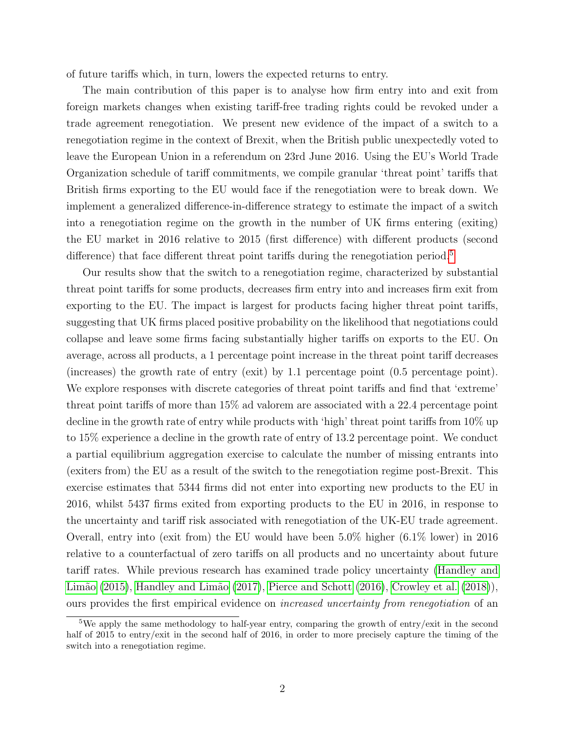of future tariffs which, in turn, lowers the expected returns to entry.

The main contribution of this paper is to analyse how firm entry into and exit from foreign markets changes when existing tariff-free trading rights could be revoked under a trade agreement renegotiation. We present new evidence of the impact of a switch to a renegotiation regime in the context of Brexit, when the British public unexpectedly voted to leave the European Union in a referendum on 23rd June 2016. Using the EU's World Trade Organization schedule of tariff commitments, we compile granular 'threat point' tariffs that British firms exporting to the EU would face if the renegotiation were to break down. We implement a generalized difference-in-difference strategy to estimate the impact of a switch into a renegotiation regime on the growth in the number of UK firms entering (exiting) the EU market in 2016 relative to 2015 (first difference) with different products (second difference) that face different threat point tariffs during the renegotiation period.<sup>[5](#page-3-0)</sup>

Our results show that the switch to a renegotiation regime, characterized by substantial threat point tariffs for some products, decreases firm entry into and increases firm exit from exporting to the EU. The impact is largest for products facing higher threat point tariffs, suggesting that UK firms placed positive probability on the likelihood that negotiations could collapse and leave some firms facing substantially higher tariffs on exports to the EU. On average, across all products, a 1 percentage point increase in the threat point tariff decreases (increases) the growth rate of entry (exit) by 1.1 percentage point (0.5 percentage point). We explore responses with discrete categories of threat point tariffs and find that 'extreme' threat point tariffs of more than 15% ad valorem are associated with a 22.4 percentage point decline in the growth rate of entry while products with 'high' threat point tariffs from 10% up to 15% experience a decline in the growth rate of entry of 13.2 percentage point. We conduct a partial equilibrium aggregation exercise to calculate the number of missing entrants into (exiters from) the EU as a result of the switch to the renegotiation regime post-Brexit. This exercise estimates that 5344 firms did not enter into exporting new products to the EU in 2016, whilst 5437 firms exited from exporting products to the EU in 2016, in response to the uncertainty and tariff risk associated with renegotiation of the UK-EU trade agreement. Overall, entry into (exit from) the EU would have been 5.0% higher (6.1% lower) in 2016 relative to a counterfactual of zero tariffs on all products and no uncertainty about future tariff rates. While previous research has examined trade policy uncertainty [\(Handley and](#page-34-1) Limão [\(2015\)](#page-34-1), Handley and Limão [\(2017\)](#page-34-2), [Pierce and Schott](#page-34-10) [\(2016\)](#page-34-10), [Crowley et al.](#page-33-0) [\(2018\)](#page-33-0)), ours provides the first empirical evidence on increased uncertainty from renegotiation of an

<span id="page-3-0"></span><sup>&</sup>lt;sup>5</sup>We apply the same methodology to half-year entry, comparing the growth of entry/exit in the second half of 2015 to entry/exit in the second half of 2016, in order to more precisely capture the timing of the switch into a renegotiation regime.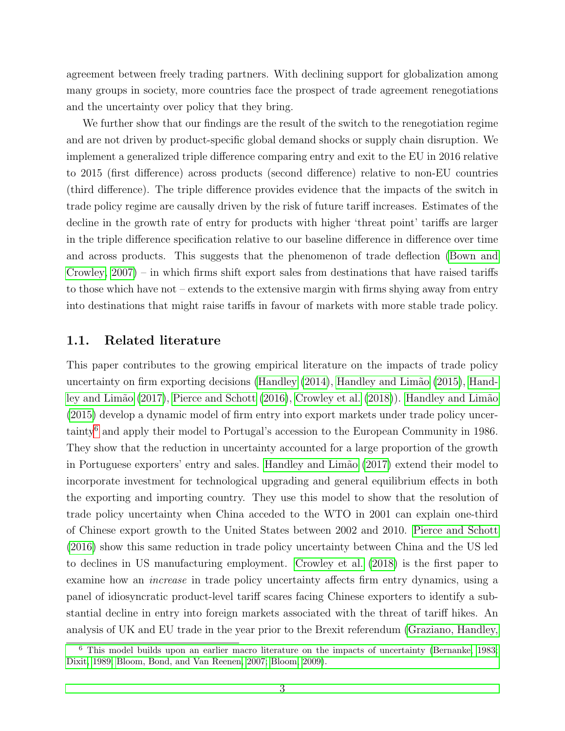agreement between freely trading partners. With declining support for globalization among many groups in society, more countries face the prospect of trade agreement renegotiations and the uncertainty over policy that they bring.

We further show that our findings are the result of the switch to the renegotiation regime and are not driven by product-specific global demand shocks or supply chain disruption. We implement a generalized triple difference comparing entry and exit to the EU in 2016 relative to 2015 (first difference) across products (second difference) relative to non-EU countries (third difference). The triple difference provides evidence that the impacts of the switch in trade policy regime are causally driven by the risk of future tariff increases. Estimates of the decline in the growth rate of entry for products with higher 'threat point' tariffs are larger in the triple difference specification relative to our baseline difference in difference over time and across products. This suggests that the phenomenon of trade deflection [\(Bown and](#page-33-3) [Crowley, 2007\)](#page-33-3) – in which firms shift export sales from destinations that have raised tariffs to those which have not – extends to the extensive margin with firms shying away from entry into destinations that might raise tariffs in favour of markets with more stable trade policy.

#### 1.1. Related literature

This paper contributes to the growing empirical literature on the impacts of trade policy uncertainty on firm exporting decisions [\(Handley](#page-34-11)  $(2014)$ , Handley and Limão  $(2015)$ , [Hand-](#page-34-2)ley and Limão [\(2017\)](#page-34-2), [Pierce and Schott](#page-34-10) [\(2016\)](#page-34-10), [Crowley et al.](#page-33-0) [\(2018\)](#page-33-0)). Handley and Limão [\(2015\)](#page-34-1) develop a dynamic model of firm entry into export markets under trade policy uncertainty[6](#page-4-0) and apply their model to Portugal's accession to the European Community in 1986. They show that the reduction in uncertainty accounted for a large proportion of the growth in Portuguese exporters' entry and sales. [Handley and Lim˜ao](#page-34-2) [\(2017\)](#page-34-2) extend their model to incorporate investment for technological upgrading and general equilibrium effects in both the exporting and importing country. They use this model to show that the resolution of trade policy uncertainty when China acceded to the WTO in 2001 can explain one-third of Chinese export growth to the United States between 2002 and 2010. [Pierce and Schott](#page-34-10) [\(2016\)](#page-34-10) show this same reduction in trade policy uncertainty between China and the US led to declines in US manufacturing employment. [Crowley et al.](#page-33-0) [\(2018\)](#page-33-0) is the first paper to examine how an *increase* in trade policy uncertainty affects firm entry dynamics, using a panel of idiosyncratic product-level tariff scares facing Chinese exporters to identify a substantial decline in entry into foreign markets associated with the threat of tariff hikes. An analysis of UK and EU trade in the year prior to the Brexit referendum [\(Graziano, Handley,](#page-34-12)

<span id="page-4-0"></span><sup>&</sup>lt;sup>6</sup> [This model builds upon an earlier macro literature on the impacts of uncertainty \(Bernanke, 1983;](#page-34-12) [Dixit, 1989; Bloom, Bond, and Van Reenen, 2007; Bloom, 2009\).](#page-34-12)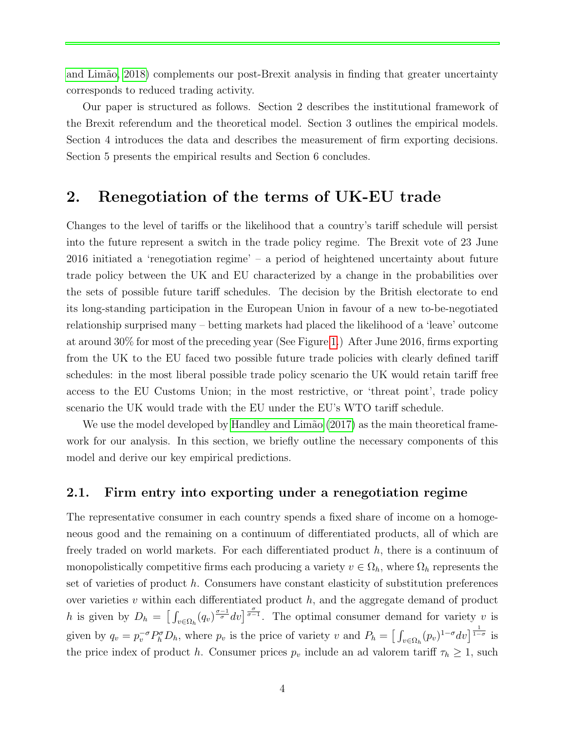[and Lim˜ao, 2018\)](#page-34-12) complements our post-Brexit analysis in finding that greater uncertainty corresponds to reduced trading activity.

Our paper is structured as follows. Section 2 describes the institutional framework of the Brexit referendum and the theoretical model. Section 3 outlines the empirical models. Section 4 introduces the data and describes the measurement of firm exporting decisions. Section 5 presents the empirical results and Section 6 concludes.

## 2. Renegotiation of the terms of UK-EU trade

Changes to the level of tariffs or the likelihood that a country's tariff schedule will persist into the future represent a switch in the trade policy regime. The Brexit vote of 23 June 2016 initiated a 'renegotiation regime' – a period of heightened uncertainty about future trade policy between the UK and EU characterized by a change in the probabilities over the sets of possible future tariff schedules. The decision by the British electorate to end its long-standing participation in the European Union in favour of a new to-be-negotiated relationship surprised many – betting markets had placed the likelihood of a 'leave' outcome at around 30% for most of the preceding year (See Figure [1.](#page-10-0)) After June 2016, firms exporting from the UK to the EU faced two possible future trade policies with clearly defined tariff schedules: in the most liberal possible trade policy scenario the UK would retain tariff free access to the EU Customs Union; in the most restrictive, or 'threat point', trade policy scenario the UK would trade with the EU under the EU's WTO tariff schedule.

We use the model developed by Handley and Limão [\(2017\)](#page-34-2) as the main theoretical framework for our analysis. In this section, we briefly outline the necessary components of this model and derive our key empirical predictions.

#### 2.1. Firm entry into exporting under a renegotiation regime

The representative consumer in each country spends a fixed share of income on a homogeneous good and the remaining on a continuum of differentiated products, all of which are freely traded on world markets. For each differentiated product  $h$ , there is a continuum of monopolistically competitive firms each producing a variety  $v \in \Omega_h$ , where  $\Omega_h$  represents the set of varieties of product  $h$ . Consumers have constant elasticity of substitution preferences over varieties  $v$  within each differentiated product  $h$ , and the aggregate demand of product h is given by  $D_h = \left[\int_{v \in \Omega_h}(q_v)^{\frac{\sigma-1}{\sigma}} dv\right]^{\frac{\sigma}{\sigma-1}}$ . The optimal consumer demand for variety v is given by  $q_v = p_v^{-\sigma} P_h^{\sigma} D_h$ , where  $p_v$  is the price of variety v and  $P_h = \left[\int_{v \in \Omega_h} (p_v)^{1-\sigma} dv\right]^\frac{1}{1-\sigma}$  is the price index of product h. Consumer prices  $p_v$  include an ad valorem tariff  $\tau_h \geq 1$ , such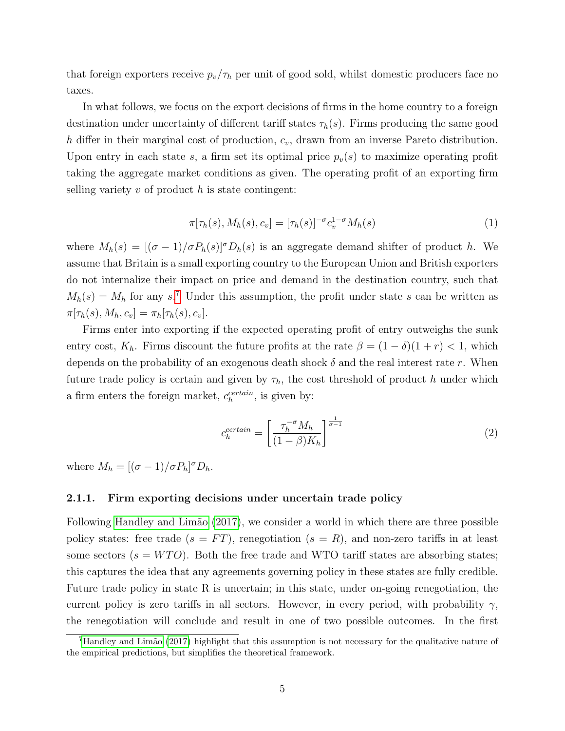that foreign exporters receive  $p_v/\tau_h$  per unit of good sold, whilst domestic producers face no taxes.

In what follows, we focus on the export decisions of firms in the home country to a foreign destination under uncertainty of different tariff states  $\tau_h(s)$ . Firms producing the same good h differ in their marginal cost of production,  $c_v$ , drawn from an inverse Pareto distribution. Upon entry in each state s, a firm set its optimal price  $p_v(s)$  to maximize operating profit taking the aggregate market conditions as given. The operating profit of an exporting firm selling variety  $v$  of product  $h$  is state contingent:

$$
\pi[\tau_h(s), M_h(s), c_v] = [\tau_h(s)]^{-\sigma} c_v^{1-\sigma} M_h(s)
$$
\n(1)

where  $M_h(s) = [(\sigma - 1)/\sigma P_h(s)]^{\sigma} D_h(s)$  is an aggregate demand shifter of product h. We assume that Britain is a small exporting country to the European Union and British exporters do not internalize their impact on price and demand in the destination country, such that  $M_h(s) = M_h$  for any s.<sup>[7](#page-6-0)</sup> Under this assumption, the profit under state s can be written as  $\pi[\tau_h(s), M_h, c_v] = \pi_h[\tau_h(s), c_v].$ 

Firms enter into exporting if the expected operating profit of entry outweighs the sunk entry cost,  $K_h$ . Firms discount the future profits at the rate  $\beta = (1 - \delta)(1 + r) < 1$ , which depends on the probability of an exogenous death shock  $\delta$  and the real interest rate r. When future trade policy is certain and given by  $\tau_h$ , the cost threshold of product h under which a firm enters the foreign market,  $c_h^{certain}$ , is given by:

$$
c_h^{certain} = \left[\frac{\tau_h^{-\sigma} M_h}{(1-\beta)K_h}\right]^{\frac{1}{\sigma-1}}
$$
\n(2)

where  $M_h = [(\sigma - 1)/\sigma P_h]^{\sigma} D_h$ .

#### 2.1.1. Firm exporting decisions under uncertain trade policy

Following Handley and Limão [\(2017\)](#page-34-2), we consider a world in which there are three possible policy states: free trade  $(s = FT)$ , renegotiation  $(s = R)$ , and non-zero tariffs in at least some sectors  $(s = WTO)$ . Both the free trade and WTO tariff states are absorbing states; this captures the idea that any agreements governing policy in these states are fully credible. Future trade policy in state R is uncertain; in this state, under on-going renegotiation, the current policy is zero tariffs in all sectors. However, in every period, with probability  $\gamma$ , the renegotiation will conclude and result in one of two possible outcomes. In the first

<span id="page-6-0"></span><sup>&</sup>lt;sup>7</sup>Handley and Limão [\(2017\)](#page-34-2) highlight that this assumption is not necessary for the qualitative nature of the empirical predictions, but simplifies the theoretical framework.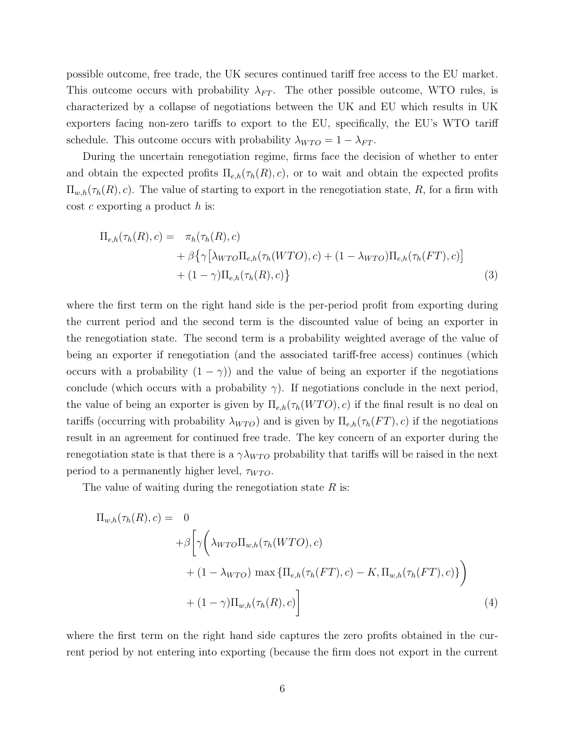possible outcome, free trade, the UK secures continued tariff free access to the EU market. This outcome occurs with probability  $\lambda_{FT}$ . The other possible outcome, WTO rules, is characterized by a collapse of negotiations between the UK and EU which results in UK exporters facing non-zero tariffs to export to the EU, specifically, the EU's WTO tariff schedule. This outcome occurs with probability  $\lambda_{WTO} = 1 - \lambda_{FT}$ .

During the uncertain renegotiation regime, firms face the decision of whether to enter and obtain the expected profits  $\Pi_{e,h}(\tau_h(R), c)$ , or to wait and obtain the expected profits  $\Pi_{w,h}(\tau_h(R), c)$ . The value of starting to export in the renegotiation state, R, for a firm with cost c exporting a product  $h$  is:

<span id="page-7-0"></span>
$$
\Pi_{e,h}(\tau_h(R), c) = \pi_h(\tau_h(R), c)
$$
  
+  $\beta \{ \gamma [\lambda_{WTO}\Pi_{e,h}(\tau_h(WTO), c) + (1 - \lambda_{WTO})\Pi_{e,h}(\tau_h(FT), c)]$   
+  $(1 - \gamma)\Pi_{e,h}(\tau_h(R), c) \}$  (3)

where the first term on the right hand side is the per-period profit from exporting during the current period and the second term is the discounted value of being an exporter in the renegotiation state. The second term is a probability weighted average of the value of being an exporter if renegotiation (and the associated tariff-free access) continues (which occurs with a probability  $(1 - \gamma)$  and the value of being an exporter if the negotiations conclude (which occurs with a probability  $\gamma$ ). If negotiations conclude in the next period, the value of being an exporter is given by  $\Pi_{e,h}(\tau_h(WTO), c)$  if the final result is no deal on tariffs (occurring with probability  $\lambda_{WTO}$ ) and is given by  $\Pi_{e,h}(\tau_h(FT), c)$  if the negotiations result in an agreement for continued free trade. The key concern of an exporter during the renegotiation state is that there is a  $\gamma \lambda_{WTO}$  probability that tariffs will be raised in the next period to a permanently higher level,  $\tau_{WTO}$ .

The value of waiting during the renegotiation state  $R$  is:

$$
\Pi_{w,h}(\tau_h(R), c) = 0
$$
  
+  $\beta \left[ \gamma \left( \lambda_{WTO} \Pi_{w,h}(\tau_h(WTO), c) + (1 - \lambda_{WTO}) \max \{ \Pi_{e,h}(\tau_h(FT), c) - K, \Pi_{w,h}(\tau_h(FT), c) \} \right) + (1 - \gamma) \Pi_{w,h}(\tau_h(R), c) \right]$  (4)

where the first term on the right hand side captures the zero profits obtained in the current period by not entering into exporting (because the firm does not export in the current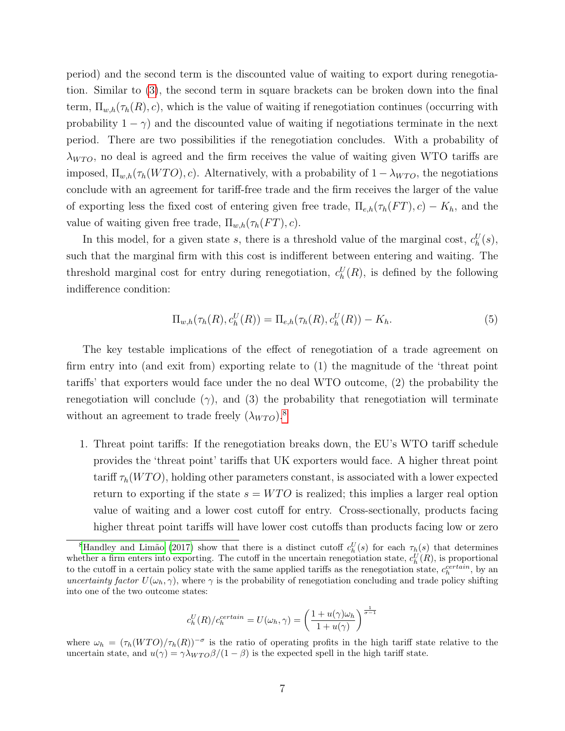period) and the second term is the discounted value of waiting to export during renegotiation. Similar to [\(3\)](#page-7-0), the second term in square brackets can be broken down into the final term,  $\Pi_{w,h}(\tau_h(R), c)$ , which is the value of waiting if renegotiation continues (occurring with probability  $1 - \gamma$ ) and the discounted value of waiting if negotiations terminate in the next period. There are two possibilities if the renegotiation concludes. With a probability of  $\lambda_{WTO}$ , no deal is agreed and the firm receives the value of waiting given WTO tariffs are imposed,  $\Pi_{w,h}(\tau_h(WTO), c)$ . Alternatively, with a probability of  $1 - \lambda_{WTO}$ , the negotiations conclude with an agreement for tariff-free trade and the firm receives the larger of the value of exporting less the fixed cost of entering given free trade,  $\Pi_{e,h}(\tau_h(FT), c) - K_h$ , and the value of waiting given free trade,  $\Pi_{w,h}(\tau_h(FT), c)$ .

In this model, for a given state s, there is a threshold value of the marginal cost,  $c_h^U(s)$ , such that the marginal firm with this cost is indifferent between entering and waiting. The threshold marginal cost for entry during renegotiation,  $c_h^U(R)$ , is defined by the following indifference condition:

$$
\Pi_{w,h}(\tau_h(R), c_h^U(R)) = \Pi_{e,h}(\tau_h(R), c_h^U(R)) - K_h.
$$
\n(5)

The key testable implications of the effect of renegotiation of a trade agreement on firm entry into (and exit from) exporting relate to (1) the magnitude of the 'threat point tariffs' that exporters would face under the no deal WTO outcome, (2) the probability the renegotiation will conclude  $(\gamma)$ , and  $(3)$  the probability that renegotiation will terminate without an agreement to trade freely  $(\lambda_{WTO})$ .<sup>[8](#page-8-0)</sup>

1. Threat point tariffs: If the renegotiation breaks down, the EU's WTO tariff schedule provides the 'threat point' tariffs that UK exporters would face. A higher threat point tariff  $\tau_h(WTO)$ , holding other parameters constant, is associated with a lower expected return to exporting if the state  $s = WTO$  is realized; this implies a larger real option value of waiting and a lower cost cutoff for entry. Cross-sectionally, products facing higher threat point tariffs will have lower cost cutoffs than products facing low or zero

$$
c_h^U(R)/c_h^{certain} = U(\omega_h, \gamma) = \left(\frac{1 + u(\gamma)\omega_h}{1 + u(\gamma)}\right)^{\frac{1}{\sigma - 1}}
$$

where  $\omega_h = (\tau_h(WTO)/\tau_h(R))^{-\sigma}$  is the ratio of operating profits in the high tariff state relative to the uncertain state, and  $u(\gamma) = \gamma \lambda_{WTO} \beta/(1-\beta)$  is the expected spell in the high tariff state.

<span id="page-8-0"></span><sup>&</sup>lt;sup>8</sup>Handley and Limão [\(2017\)](#page-34-2) show that there is a distinct cutoff  $c_h^U(s)$  for each  $\tau_h(s)$  that determines whether a firm enters into exporting. The cutoff in the uncertain renegotiation state,  $c_h^U(R)$ , is proportional to the cutoff in a certain policy state with the same applied tariffs as the renegotiation state,  $c_h^{certain}$ , by an uncertainty factor  $U(\omega_h, \gamma)$ , where  $\gamma$  is the probability of renegotiation concluding and trade policy shifting into one of the two outcome states: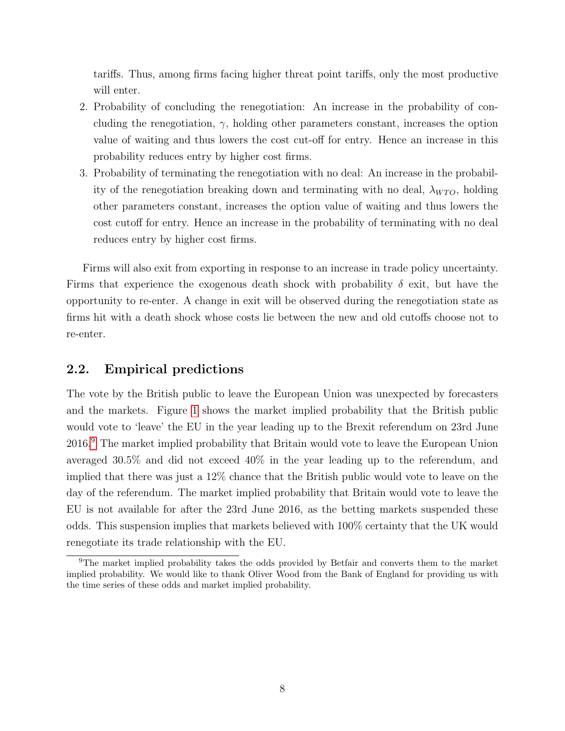tariffs. Thus, among firms facing higher threat point tariffs, only the most productive will enter.

- 2. Probability of concluding the renegotiation: An increase in the probability of concluding the renegotiation,  $\gamma$ , holding other parameters constant, increases the option value of waiting and thus lowers the cost cut-off for entry. Hence an increase in this probability reduces entry by higher cost firms.
- 3. Probability of terminating the renegotiation with no deal: An increase in the probability of the renegotiation breaking down and terminating with no deal,  $\lambda_{WTO}$ , holding other parameters constant, increases the option value of waiting and thus lowers the cost cutoff for entry. Hence an increase in the probability of terminating with no deal reduces entry by higher cost firms.

Firms will also exit from exporting in response to an increase in trade policy uncertainty. Firms that experience the exogenous death shock with probability  $\delta$  exit, but have the opportunity to re-enter. A change in exit will be observed during the renegotiation state as firms hit with a death shock whose costs lie between the new and old cutoffs choose not to re-enter.

## 2.2. Empirical predictions

The vote by the British public to leave the European Union was unexpected by forecasters and the markets. Figure [1](#page-10-0) shows the market implied probability that the British public would vote to 'leave' the EU in the year leading up to the Brexit referendum on 23rd June 2016.[9](#page-9-0) The market implied probability that Britain would vote to leave the European Union averaged 30.5% and did not exceed 40% in the year leading up to the referendum, and implied that there was just a 12% chance that the British public would vote to leave on the day of the referendum. The market implied probability that Britain would vote to leave the EU is not available for after the 23rd June 2016, as the betting markets suspended these odds. This suspension implies that markets believed with 100% certainty that the UK would renegotiate its trade relationship with the EU.

<span id="page-9-0"></span><sup>&</sup>lt;sup>9</sup>The market implied probability takes the odds provided by Betfair and converts them to the market implied probability. We would like to thank Oliver Wood from the Bank of England for providing us with the time series of these odds and market implied probability.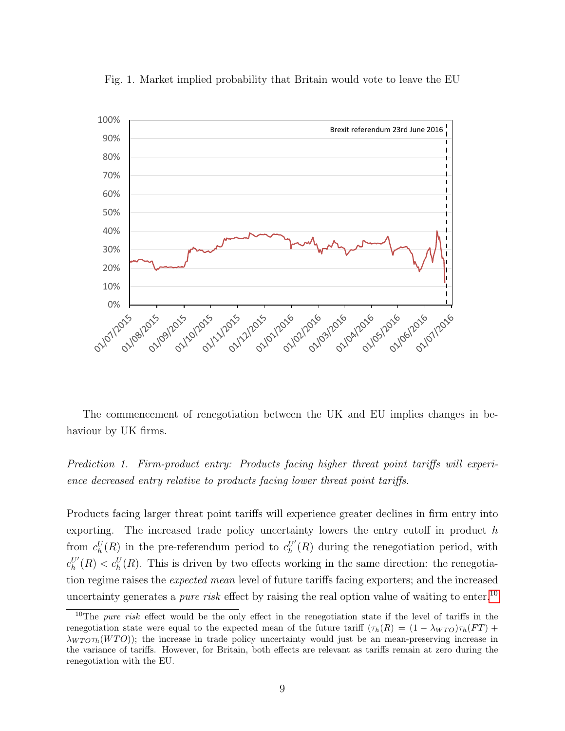

<span id="page-10-0"></span>Fig. 1. Market implied probability that Britain would vote to leave the EU

The commencement of renegotiation between the UK and EU implies changes in behaviour by UK firms.

Prediction 1. Firm-product entry: Products facing higher threat point tariffs will experience decreased entry relative to products facing lower threat point tariffs.

Products facing larger threat point tariffs will experience greater declines in firm entry into exporting. The increased trade policy uncertainty lowers the entry cutoff in product  $h$ from  $c_h^U(R)$  in the pre-referendum period to  $c_h^{U'}(R)$  during the renegotiation period, with  $c_h^{U'}(R) < c_h^{U}(R)$ . This is driven by two effects working in the same direction: the renegotiation regime raises the expected mean level of future tariffs facing exporters; and the increased uncertainty generates a *pure risk* effect by raising the real option value of waiting to enter.<sup>[10](#page-10-1)</sup>

<span id="page-10-1"></span><sup>&</sup>lt;sup>10</sup>The *pure risk* effect would be the only effect in the renegotiation state if the level of tariffs in the renegotiation state were equal to the expected mean of the future tariff  $(\tau_h(R) = (1 - \lambda_{WTO})\tau_h(FT) +$  $\lambda_{W T O} \tau_h(W T O)$ ); the increase in trade policy uncertainty would just be an mean-preserving increase in the variance of tariffs. However, for Britain, both effects are relevant as tariffs remain at zero during the renegotiation with the EU.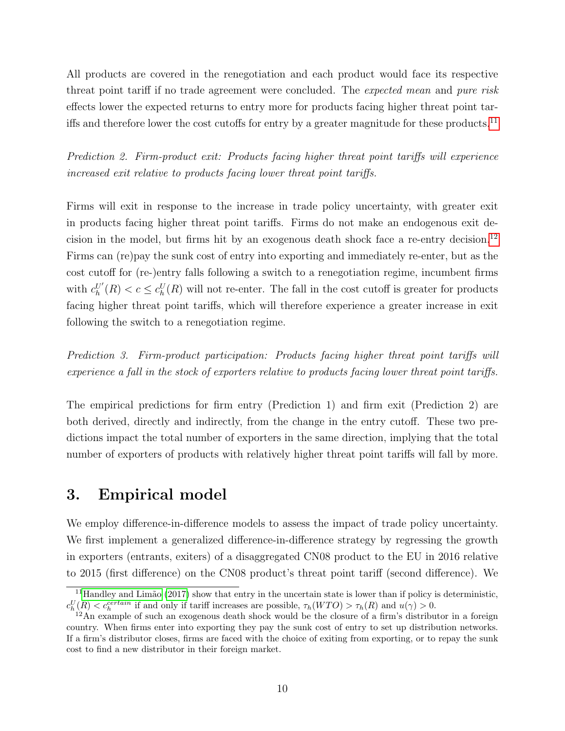All products are covered in the renegotiation and each product would face its respective threat point tariff if no trade agreement were concluded. The expected mean and pure risk effects lower the expected returns to entry more for products facing higher threat point tar-iffs and therefore lower the cost cutoffs for entry by a greater magnitude for these products.<sup>[11](#page-11-0)</sup>

Prediction 2. Firm-product exit: Products facing higher threat point tariffs will experience increased exit relative to products facing lower threat point tariffs.

Firms will exit in response to the increase in trade policy uncertainty, with greater exit in products facing higher threat point tariffs. Firms do not make an endogenous exit decision in the model, but firms hit by an exogenous death shock face a re-entry decision.[12](#page-11-1) Firms can (re)pay the sunk cost of entry into exporting and immediately re-enter, but as the cost cutoff for (re-)entry falls following a switch to a renegotiation regime, incumbent firms with  $c_h^{U'}(R) < c \leq c_h^{U}(R)$  will not re-enter. The fall in the cost cutoff is greater for products facing higher threat point tariffs, which will therefore experience a greater increase in exit following the switch to a renegotiation regime.

Prediction 3. Firm-product participation: Products facing higher threat point tariffs will experience a fall in the stock of exporters relative to products facing lower threat point tariffs.

The empirical predictions for firm entry (Prediction 1) and firm exit (Prediction 2) are both derived, directly and indirectly, from the change in the entry cutoff. These two predictions impact the total number of exporters in the same direction, implying that the total number of exporters of products with relatively higher threat point tariffs will fall by more.

## 3. Empirical model

We employ difference-in-difference models to assess the impact of trade policy uncertainty. We first implement a generalized difference-in-difference strategy by regressing the growth in exporters (entrants, exiters) of a disaggregated CN08 product to the EU in 2016 relative to 2015 (first difference) on the CN08 product's threat point tariff (second difference). We

<span id="page-11-0"></span> $11$ Handley and Limão [\(2017\)](#page-34-2) show that entry in the uncertain state is lower than if policy is deterministic,  $c_h^U(R) < c_h^{certain}$  if and only if tariff increases are possible,  $\tau_h(WTO) > \tau_h(R)$  and  $u(\gamma) > 0$ .

<span id="page-11-1"></span> $12$ An example of such an exogenous death shock would be the closure of a firm's distributor in a foreign country. When firms enter into exporting they pay the sunk cost of entry to set up distribution networks. If a firm's distributor closes, firms are faced with the choice of exiting from exporting, or to repay the sunk cost to find a new distributor in their foreign market.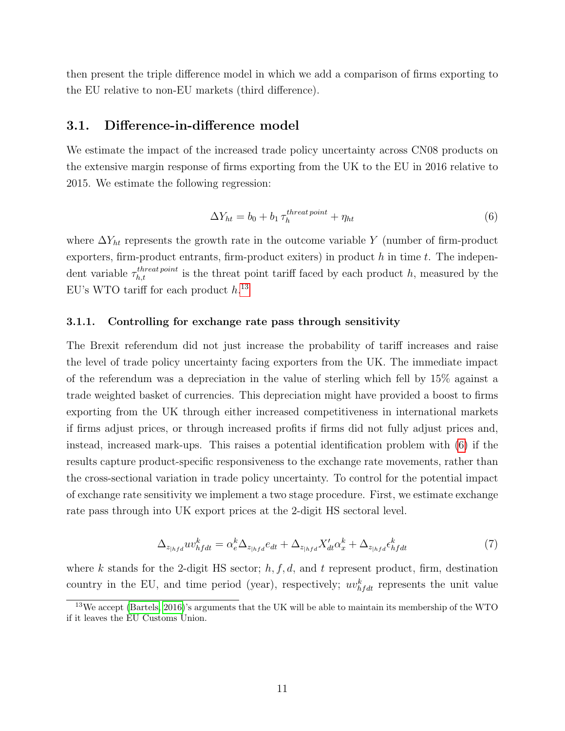then present the triple difference model in which we add a comparison of firms exporting to the EU relative to non-EU markets (third difference).

#### 3.1. Difference-in-difference model

We estimate the impact of the increased trade policy uncertainty across CN08 products on the extensive margin response of firms exporting from the UK to the EU in 2016 relative to 2015. We estimate the following regression:

<span id="page-12-1"></span>
$$
\Delta Y_{ht} = b_0 + b_1 \tau_h^{thread\,point} + \eta_{ht} \tag{6}
$$

where  $\Delta Y_{ht}$  represents the growth rate in the outcome variable Y (number of firm-product exporters, firm-product entrants, firm-product exiters) in product  $h$  in time  $t$ . The independent variable  $\tau_{h,t}^{thread\,point}$  is the threat point tariff faced by each product h, measured by the EU's WTO tariff for each product  $h^{13}$  $h^{13}$  $h^{13}$ 

#### 3.1.1. Controlling for exchange rate pass through sensitivity

The Brexit referendum did not just increase the probability of tariff increases and raise the level of trade policy uncertainty facing exporters from the UK. The immediate impact of the referendum was a depreciation in the value of sterling which fell by 15% against a trade weighted basket of currencies. This depreciation might have provided a boost to firms exporting from the UK through either increased competitiveness in international markets if firms adjust prices, or through increased profits if firms did not fully adjust prices and, instead, increased mark-ups. This raises a potential identification problem with [\(6\)](#page-12-1) if the results capture product-specific responsiveness to the exchange rate movements, rather than the cross-sectional variation in trade policy uncertainty. To control for the potential impact of exchange rate sensitivity we implement a two stage procedure. First, we estimate exchange rate pass through into UK export prices at the 2-digit HS sectoral level.

<span id="page-12-2"></span>
$$
\Delta_{z_{|hfd}} uv_{hfdt}^k = \alpha_e^k \Delta_{z_{|hfd}} e_{dt} + \Delta_{z_{|hfd}} X_{dt}' \alpha_x^k + \Delta_{z_{|hfd}} \epsilon_{hfdt}^k \tag{7}
$$

where k stands for the 2-digit HS sector;  $h, f, d$ , and t represent product, firm, destination country in the EU, and time period (year), respectively;  $uv_{hfdt}^k$  represents the unit value

<span id="page-12-0"></span><sup>&</sup>lt;sup>13</sup>We accept [\(Bartels, 2016\)](#page-33-8)'s arguments that the UK will be able to maintain its membership of the WTO if it leaves the EU Customs Union.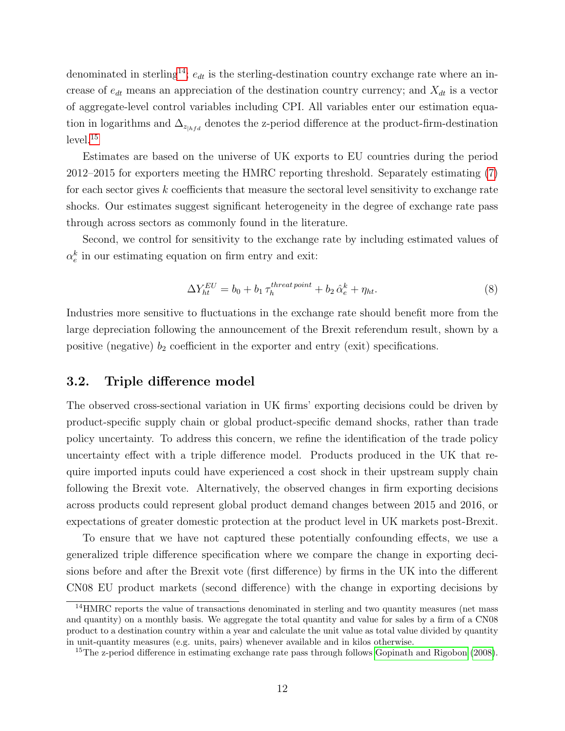denominated in sterling<sup>[14](#page-13-0)</sup>;  $e_{dt}$  is the sterling-destination country exchange rate where an increase of  $e_{dt}$  means an appreciation of the destination country currency; and  $X_{dt}$  is a vector of aggregate-level control variables including CPI. All variables enter our estimation equation in logarithms and  $\Delta_{z_{hfd}}$  denotes the z-period difference at the product-firm-destination  $level.<sup>15</sup>$  $level.<sup>15</sup>$  $level.<sup>15</sup>$ 

Estimates are based on the universe of UK exports to EU countries during the period 2012–2015 for exporters meeting the HMRC reporting threshold. Separately estimating [\(7\)](#page-12-2) for each sector gives  $k$  coefficients that measure the sectoral level sensitivity to exchange rate shocks. Our estimates suggest significant heterogeneity in the degree of exchange rate pass through across sectors as commonly found in the literature.

Second, we control for sensitivity to the exchange rate by including estimated values of  $\alpha_e^k$  in our estimating equation on firm entry and exit:

$$
\Delta Y_{ht}^{EU} = b_0 + b_1 \tau_h^{thread\,point} + b_2 \,\hat{\alpha}_e^k + \eta_{ht}.\tag{8}
$$

Industries more sensitive to fluctuations in the exchange rate should benefit more from the large depreciation following the announcement of the Brexit referendum result, shown by a positive (negative)  $b_2$  coefficient in the exporter and entry (exit) specifications.

## 3.2. Triple difference model

The observed cross-sectional variation in UK firms' exporting decisions could be driven by product-specific supply chain or global product-specific demand shocks, rather than trade policy uncertainty. To address this concern, we refine the identification of the trade policy uncertainty effect with a triple difference model. Products produced in the UK that require imported inputs could have experienced a cost shock in their upstream supply chain following the Brexit vote. Alternatively, the observed changes in firm exporting decisions across products could represent global product demand changes between 2015 and 2016, or expectations of greater domestic protection at the product level in UK markets post-Brexit.

To ensure that we have not captured these potentially confounding effects, we use a generalized triple difference specification where we compare the change in exporting decisions before and after the Brexit vote (first difference) by firms in the UK into the different CN08 EU product markets (second difference) with the change in exporting decisions by

<span id="page-13-0"></span><sup>&</sup>lt;sup>14</sup>HMRC reports the value of transactions denominated in sterling and two quantity measures (net mass and quantity) on a monthly basis. We aggregate the total quantity and value for sales by a firm of a CN08 product to a destination country within a year and calculate the unit value as total value divided by quantity in unit-quantity measures (e.g. units, pairs) whenever available and in kilos otherwise.

<span id="page-13-1"></span><sup>&</sup>lt;sup>15</sup>The z-period difference in estimating exchange rate pass through follows [Gopinath and Rigobon](#page-33-9) [\(2008\)](#page-33-9).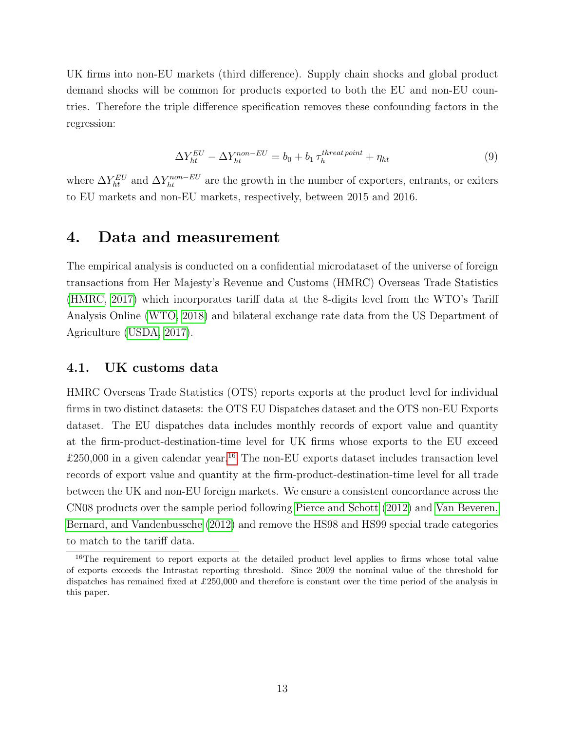UK firms into non-EU markets (third difference). Supply chain shocks and global product demand shocks will be common for products exported to both the EU and non-EU countries. Therefore the triple difference specification removes these confounding factors in the regression:

$$
\Delta Y_{ht}^{EU} - \Delta Y_{ht}^{non-EU} = b_0 + b_1 \tau_h^{thread \, point} + \eta_{ht} \tag{9}
$$

where  $\Delta Y_{ht}^{EU}$  and  $\Delta Y_{ht}^{non-EU}$  are the growth in the number of exporters, entrants, or exiters to EU markets and non-EU markets, respectively, between 2015 and 2016.

## 4. Data and measurement

The empirical analysis is conducted on a confidential microdataset of the universe of foreign transactions from Her Majesty's Revenue and Customs (HMRC) Overseas Trade Statistics [\(HMRC, 2017\)](#page-34-13) which incorporates tariff data at the 8-digits level from the WTO's Tariff Analysis Online [\(WTO, 2018\)](#page-35-2) and bilateral exchange rate data from the US Department of Agriculture [\(USDA, 2017\)](#page-35-3).

#### 4.1. UK customs data

HMRC Overseas Trade Statistics (OTS) reports exports at the product level for individual firms in two distinct datasets: the OTS EU Dispatches dataset and the OTS non-EU Exports dataset. The EU dispatches data includes monthly records of export value and quantity at the firm-product-destination-time level for UK firms whose exports to the EU exceed  $£250,000$  in a given calendar year.<sup>[16](#page-14-0)</sup> The non-EU exports dataset includes transaction level records of export value and quantity at the firm-product-destination-time level for all trade between the UK and non-EU foreign markets. We ensure a consistent concordance across the CN08 products over the sample period following [Pierce and Schott](#page-34-14) [\(2012\)](#page-34-14) and [Van Beveren,](#page-35-4) [Bernard, and Vandenbussche](#page-35-4) [\(2012\)](#page-35-4) and remove the HS98 and HS99 special trade categories to match to the tariff data.

<span id="page-14-0"></span><sup>&</sup>lt;sup>16</sup>The requirement to report exports at the detailed product level applies to firms whose total value of exports exceeds the Intrastat reporting threshold. Since 2009 the nominal value of the threshold for dispatches has remained fixed at £250,000 and therefore is constant over the time period of the analysis in this paper.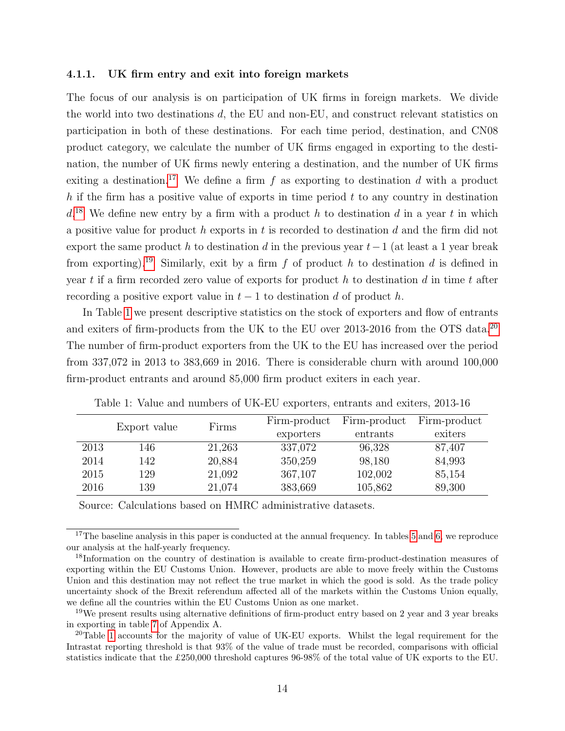#### 4.1.1. UK firm entry and exit into foreign markets

The focus of our analysis is on participation of UK firms in foreign markets. We divide the world into two destinations d, the EU and non-EU, and construct relevant statistics on participation in both of these destinations. For each time period, destination, and CN08 product category, we calculate the number of UK firms engaged in exporting to the destination, the number of UK firms newly entering a destination, and the number of UK firms exiting a destination.<sup>[17](#page-15-0)</sup> We define a firm f as exporting to destination d with a product h if the firm has a positive value of exports in time period  $t$  to any country in destination  $d<sup>18</sup>$  $d<sup>18</sup>$  $d<sup>18</sup>$  We define new entry by a firm with a product h to destination d in a year t in which a positive value for product h exports in t is recorded to destination d and the firm did not export the same product h to destination d in the previous year  $t-1$  (at least a 1 year break from exporting).<sup>[19](#page-15-2)</sup> Similarly, exit by a firm f of product h to destination d is defined in year t if a firm recorded zero value of exports for product h to destination d in time t after recording a positive export value in  $t-1$  to destination d of product h.

In Table [1](#page-15-3) we present descriptive statistics on the stock of exporters and flow of entrants and exiters of firm-products from the UK to the EU over 2013-2016 from the OTS data.[20](#page-15-4) The number of firm-product exporters from the UK to the EU has increased over the period from 337,072 in 2013 to 383,669 in 2016. There is considerable churn with around 100,000 firm-product entrants and around 85,000 firm product exiters in each year.

<span id="page-15-3"></span>

|              |     | Firms  | Firm-product | Firm-product | Firm-product |
|--------------|-----|--------|--------------|--------------|--------------|
| Export value |     |        | exporters    | entrants     | exiters      |
| 2013         | 146 | 21,263 | 337,072      | 96,328       | 87,407       |
| 2014         | 142 | 20,884 | 350,259      | 98,180       | 84,993       |
| 2015         | 129 | 21,092 | 367,107      | 102,002      | 85,154       |
| 2016         | 139 | 21,074 | 383,669      | 105,862      | 89,300       |

Table 1: Value and numbers of UK-EU exporters, entrants and exiters, 2013-16

Source: Calculations based on HMRC administrative datasets.

<span id="page-15-0"></span> $17$ The baseline analysis in this paper is conducted at the annual frequency. In tables [5](#page-27-0) and [6,](#page-28-0) we reproduce our analysis at the half-yearly frequency.

<span id="page-15-1"></span><sup>18</sup>Information on the country of destination is available to create firm-product-destination measures of exporting within the EU Customs Union. However, products are able to move freely within the Customs Union and this destination may not reflect the true market in which the good is sold. As the trade policy uncertainty shock of the Brexit referendum affected all of the markets within the Customs Union equally, we define all the countries within the EU Customs Union as one market.

<span id="page-15-2"></span><sup>19</sup>We present results using alternative definitions of firm-product entry based on 2 year and 3 year breaks in exporting in table [7](#page-32-0) of Appendix A.

<span id="page-15-4"></span><sup>&</sup>lt;sup>20</sup>Table [1](#page-15-3) accounts for the majority of value of UK-EU exports. Whilst the legal requirement for the Intrastat reporting threshold is that 93% of the value of trade must be recorded, comparisons with official statistics indicate that the £250,000 threshold captures 96-98% of the total value of UK exports to the EU.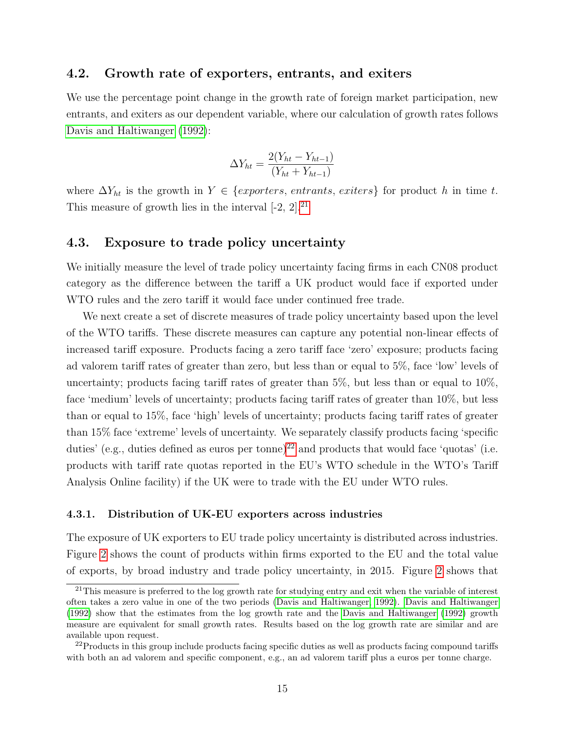#### 4.2. Growth rate of exporters, entrants, and exiters

We use the percentage point change in the growth rate of foreign market participation, new entrants, and exiters as our dependent variable, where our calculation of growth rates follows [Davis and Haltiwanger](#page-33-10) [\(1992\)](#page-33-10):

$$
\Delta Y_{ht} = \frac{2(Y_{ht} - Y_{ht-1})}{(Y_{ht} + Y_{ht-1})}
$$

where  $\Delta Y_{ht}$  is the growth in  $Y \in \{exports, entrants, exiters\}$  for product h in time t. This measure of growth lies in the interval  $[-2, 2]$ .<sup>[21](#page-16-0)</sup>

### 4.3. Exposure to trade policy uncertainty

We initially measure the level of trade policy uncertainty facing firms in each CN08 product category as the difference between the tariff a UK product would face if exported under WTO rules and the zero tariff it would face under continued free trade.

We next create a set of discrete measures of trade policy uncertainty based upon the level of the WTO tariffs. These discrete measures can capture any potential non-linear effects of increased tariff exposure. Products facing a zero tariff face 'zero' exposure; products facing ad valorem tariff rates of greater than zero, but less than or equal to 5%, face 'low' levels of uncertainty; products facing tariff rates of greater than 5%, but less than or equal to 10%, face 'medium' levels of uncertainty; products facing tariff rates of greater than 10%, but less than or equal to 15%, face 'high' levels of uncertainty; products facing tariff rates of greater than 15% face 'extreme' levels of uncertainty. We separately classify products facing 'specific duties' (e.g., duties defined as euros per tonne)<sup>[22](#page-16-1)</sup> and products that would face 'quotas' (i.e. products with tariff rate quotas reported in the EU's WTO schedule in the WTO's Tariff Analysis Online facility) if the UK were to trade with the EU under WTO rules.

#### 4.3.1. Distribution of UK-EU exporters across industries

The exposure of UK exporters to EU trade policy uncertainty is distributed across industries. Figure [2](#page-17-0) shows the count of products within firms exported to the EU and the total value of exports, by broad industry and trade policy uncertainty, in 2015. Figure [2](#page-17-0) shows that

<span id="page-16-0"></span> $^{21}$ This measure is preferred to the log growth rate for studying entry and exit when the variable of interest often takes a zero value in one of the two periods [\(Davis and Haltiwanger, 1992\)](#page-33-10). [Davis and Haltiwanger](#page-33-10) [\(1992\)](#page-33-10) show that the estimates from the log growth rate and the [Davis and Haltiwanger](#page-33-10) [\(1992\)](#page-33-10) growth measure are equivalent for small growth rates. Results based on the log growth rate are similar and are available upon request.

<span id="page-16-1"></span> $^{22}$ Products in this group include products facing specific duties as well as products facing compound tariffs with both an ad valorem and specific component, e.g., an ad valorem tariff plus a euros per tonne charge.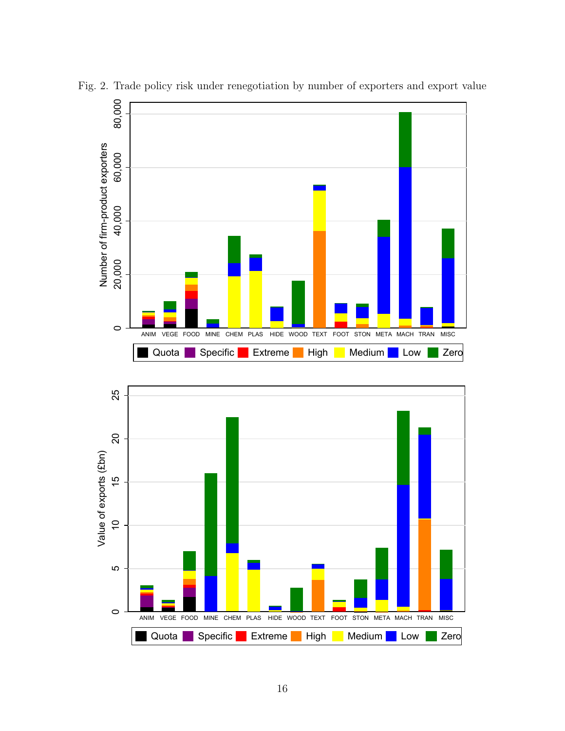

<span id="page-17-0"></span>Fig. 2. Trade policy risk under renegotiation by number of exporters and export value

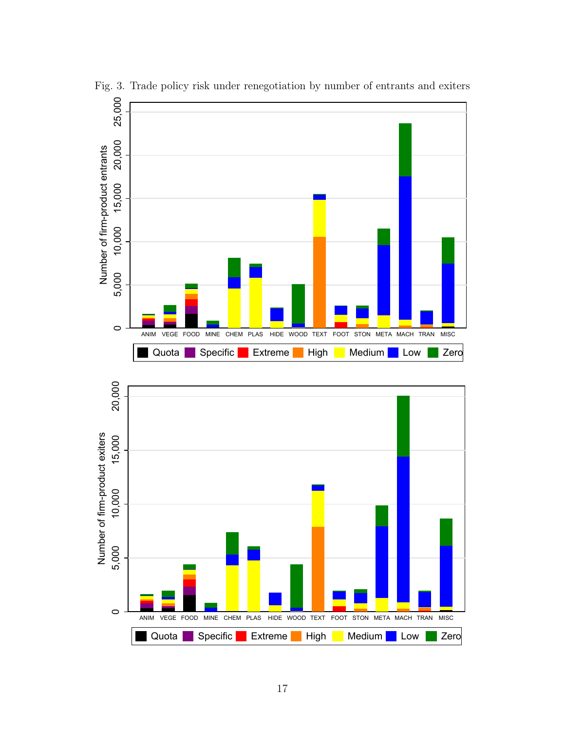

<span id="page-18-0"></span>Fig. 3. Trade policy risk under renegotiation by number of entrants and exiters

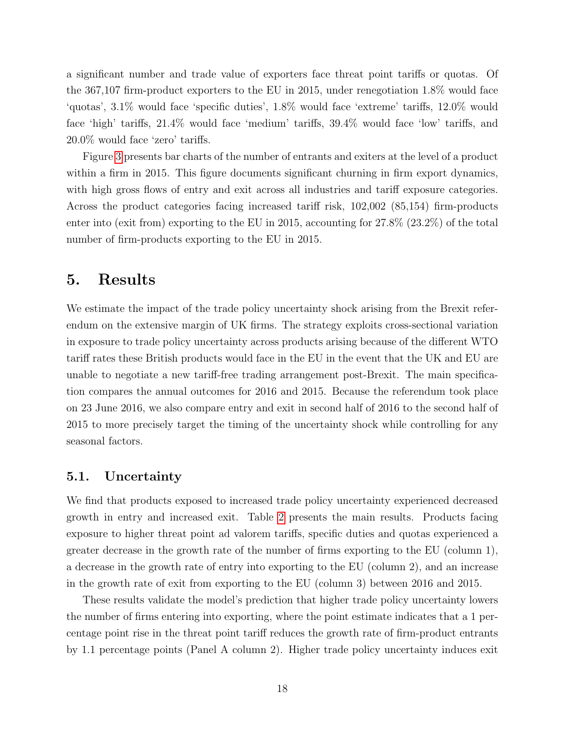a significant number and trade value of exporters face threat point tariffs or quotas. Of the 367,107 firm-product exporters to the EU in 2015, under renegotiation 1.8% would face 'quotas', 3.1% would face 'specific duties', 1.8% would face 'extreme' tariffs, 12.0% would face 'high' tariffs, 21.4% would face 'medium' tariffs, 39.4% would face 'low' tariffs, and 20.0% would face 'zero' tariffs.

Figure [3](#page-18-0) presents bar charts of the number of entrants and exiters at the level of a product within a firm in 2015. This figure documents significant churning in firm export dynamics, with high gross flows of entry and exit across all industries and tariff exposure categories. Across the product categories facing increased tariff risk, 102,002 (85,154) firm-products enter into (exit from) exporting to the EU in 2015, accounting for 27.8% (23.2%) of the total number of firm-products exporting to the EU in 2015.

## 5. Results

We estimate the impact of the trade policy uncertainty shock arising from the Brexit referendum on the extensive margin of UK firms. The strategy exploits cross-sectional variation in exposure to trade policy uncertainty across products arising because of the different WTO tariff rates these British products would face in the EU in the event that the UK and EU are unable to negotiate a new tariff-free trading arrangement post-Brexit. The main specification compares the annual outcomes for 2016 and 2015. Because the referendum took place on 23 June 2016, we also compare entry and exit in second half of 2016 to the second half of 2015 to more precisely target the timing of the uncertainty shock while controlling for any seasonal factors.

### 5.1. Uncertainty

We find that products exposed to increased trade policy uncertainty experienced decreased growth in entry and increased exit. Table [2](#page-20-0) presents the main results. Products facing exposure to higher threat point ad valorem tariffs, specific duties and quotas experienced a greater decrease in the growth rate of the number of firms exporting to the EU (column 1), a decrease in the growth rate of entry into exporting to the EU (column 2), and an increase in the growth rate of exit from exporting to the EU (column 3) between 2016 and 2015.

These results validate the model's prediction that higher trade policy uncertainty lowers the number of firms entering into exporting, where the point estimate indicates that a 1 percentage point rise in the threat point tariff reduces the growth rate of firm-product entrants by 1.1 percentage points (Panel A column 2). Higher trade policy uncertainty induces exit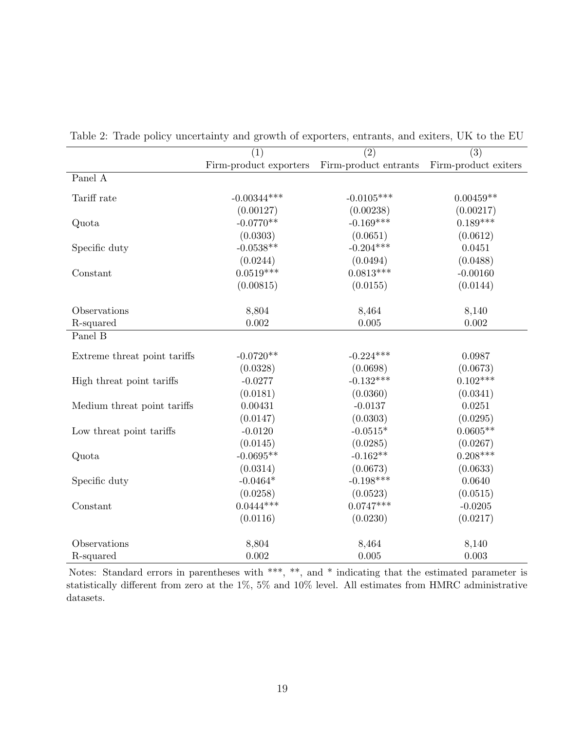|                              | (1)                    | (2)                   | (3)                  |
|------------------------------|------------------------|-----------------------|----------------------|
|                              | Firm-product exporters | Firm-product entrants | Firm-product exiters |
| Panel A                      |                        |                       |                      |
| Tariff rate                  | $-0.00344***$          | $-0.0105***$          | $0.00459**$          |
|                              | (0.00127)              | (0.00238)             | (0.00217)            |
| Quota                        | $-0.0770**$            | $-0.169***$           | $0.189***$           |
|                              | (0.0303)               | (0.0651)              | (0.0612)             |
| Specific duty                | $-0.0538**$            | $-0.204***$           | 0.0451               |
|                              | (0.0244)               | (0.0494)              | (0.0488)             |
| Constant                     | $0.0519***$            | $0.0813***$           | $-0.00160$           |
|                              | (0.00815)              | (0.0155)              | (0.0144)             |
| Observations                 | 8,804                  | 8,464                 | 8,140                |
| R-squared                    | 0.002                  | 0.005                 | 0.002                |
| Panel B                      |                        |                       |                      |
|                              |                        |                       |                      |
| Extreme threat point tariffs | $-0.0720**$            | $-0.224***$           | 0.0987               |
|                              | (0.0328)               | (0.0698)              | (0.0673)             |
| High threat point tariffs    | $-0.0277$              | $-0.132***$           | $0.102***$           |
|                              | (0.0181)               | (0.0360)              | (0.0341)             |
| Medium threat point tariffs  | 0.00431                | $-0.0137$             | 0.0251               |
|                              | (0.0147)               | (0.0303)              | (0.0295)             |
| Low threat point tariffs     | $-0.0120$              | $-0.0515*$            | $0.0605**$           |
|                              | (0.0145)               | (0.0285)              | (0.0267)             |
| Quota                        | $-0.0695**$            | $-0.162**$            | $0.208***$           |
|                              | (0.0314)               | (0.0673)              | (0.0633)             |
| Specific duty                | $-0.0464*$             | $-0.198***$           | 0.0640               |
|                              | (0.0258)               | (0.0523)              | (0.0515)             |
| Constant                     | $0.0444***$            | $0.0747***$           | $-0.0205$            |
|                              | (0.0116)               | (0.0230)              | (0.0217)             |
| Observations                 | 8,804                  | 8,464                 | 8,140                |
| R-squared                    | 0.002                  | 0.005                 | 0.003                |

<span id="page-20-0"></span>Table 2: Trade policy uncertainty and growth of exporters, entrants, and exiters, UK to the EU

Notes: Standard errors in parentheses with \*\*\*, \*\*, and \* indicating that the estimated parameter is statistically different from zero at the 1%, 5% and 10% level. All estimates from HMRC administrative datasets.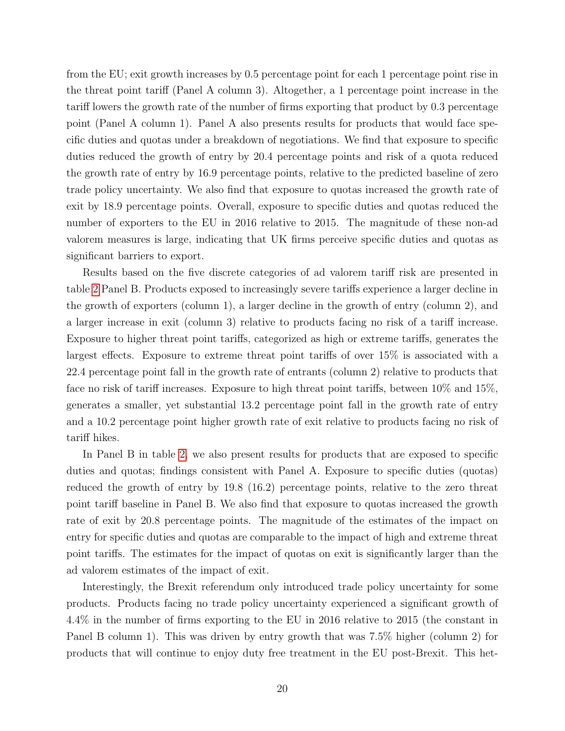from the EU; exit growth increases by 0.5 percentage point for each 1 percentage point rise in the threat point tariff (Panel A column 3). Altogether, a 1 percentage point increase in the tariff lowers the growth rate of the number of firms exporting that product by 0.3 percentage point (Panel A column 1). Panel A also presents results for products that would face specific duties and quotas under a breakdown of negotiations. We find that exposure to specific duties reduced the growth of entry by 20.4 percentage points and risk of a quota reduced the growth rate of entry by 16.9 percentage points, relative to the predicted baseline of zero trade policy uncertainty. We also find that exposure to quotas increased the growth rate of exit by 18.9 percentage points. Overall, exposure to specific duties and quotas reduced the number of exporters to the EU in 2016 relative to 2015. The magnitude of these non-ad valorem measures is large, indicating that UK firms perceive specific duties and quotas as significant barriers to export.

Results based on the five discrete categories of ad valorem tariff risk are presented in table [2](#page-20-0) Panel B. Products exposed to increasingly severe tariffs experience a larger decline in the growth of exporters (column 1), a larger decline in the growth of entry (column 2), and a larger increase in exit (column 3) relative to products facing no risk of a tariff increase. Exposure to higher threat point tariffs, categorized as high or extreme tariffs, generates the largest effects. Exposure to extreme threat point tariffs of over 15% is associated with a 22.4 percentage point fall in the growth rate of entrants (column 2) relative to products that face no risk of tariff increases. Exposure to high threat point tariffs, between 10% and 15%, generates a smaller, yet substantial 13.2 percentage point fall in the growth rate of entry and a 10.2 percentage point higher growth rate of exit relative to products facing no risk of tariff hikes.

In Panel B in table [2,](#page-20-0) we also present results for products that are exposed to specific duties and quotas; findings consistent with Panel A. Exposure to specific duties (quotas) reduced the growth of entry by 19.8 (16.2) percentage points, relative to the zero threat point tariff baseline in Panel B. We also find that exposure to quotas increased the growth rate of exit by 20.8 percentage points. The magnitude of the estimates of the impact on entry for specific duties and quotas are comparable to the impact of high and extreme threat point tariffs. The estimates for the impact of quotas on exit is significantly larger than the ad valorem estimates of the impact of exit.

Interestingly, the Brexit referendum only introduced trade policy uncertainty for some products. Products facing no trade policy uncertainty experienced a significant growth of 4.4% in the number of firms exporting to the EU in 2016 relative to 2015 (the constant in Panel B column 1). This was driven by entry growth that was 7.5% higher (column 2) for products that will continue to enjoy duty free treatment in the EU post-Brexit. This het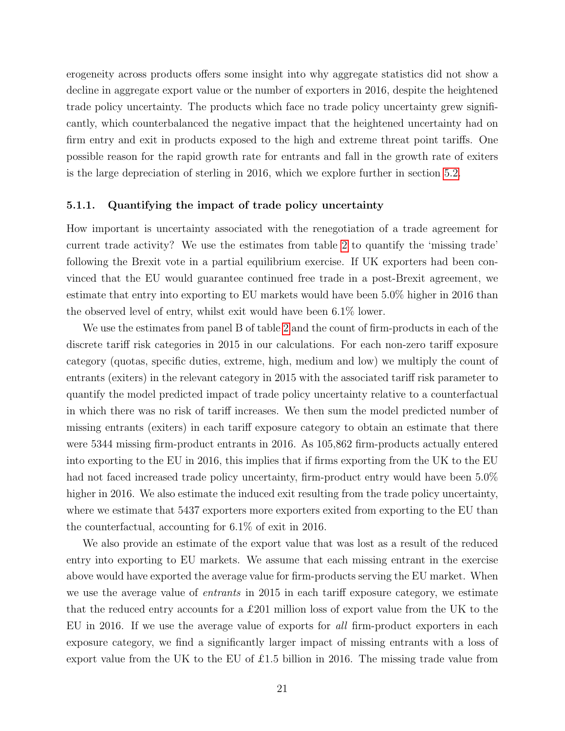erogeneity across products offers some insight into why aggregate statistics did not show a decline in aggregate export value or the number of exporters in 2016, despite the heightened trade policy uncertainty. The products which face no trade policy uncertainty grew significantly, which counterbalanced the negative impact that the heightened uncertainty had on firm entry and exit in products exposed to the high and extreme threat point tariffs. One possible reason for the rapid growth rate for entrants and fall in the growth rate of exiters is the large depreciation of sterling in 2016, which we explore further in section [5.2.](#page-23-0)

#### 5.1.1. Quantifying the impact of trade policy uncertainty

How important is uncertainty associated with the renegotiation of a trade agreement for current trade activity? We use the estimates from table [2](#page-20-0) to quantify the 'missing trade' following the Brexit vote in a partial equilibrium exercise. If UK exporters had been convinced that the EU would guarantee continued free trade in a post-Brexit agreement, we estimate that entry into exporting to EU markets would have been 5.0% higher in 2016 than the observed level of entry, whilst exit would have been 6.1% lower.

We use the estimates from panel B of table [2](#page-20-0) and the count of firm-products in each of the discrete tariff risk categories in 2015 in our calculations. For each non-zero tariff exposure category (quotas, specific duties, extreme, high, medium and low) we multiply the count of entrants (exiters) in the relevant category in 2015 with the associated tariff risk parameter to quantify the model predicted impact of trade policy uncertainty relative to a counterfactual in which there was no risk of tariff increases. We then sum the model predicted number of missing entrants (exiters) in each tariff exposure category to obtain an estimate that there were 5344 missing firm-product entrants in 2016. As 105,862 firm-products actually entered into exporting to the EU in 2016, this implies that if firms exporting from the UK to the EU had not faced increased trade policy uncertainty, firm-product entry would have been 5.0% higher in 2016. We also estimate the induced exit resulting from the trade policy uncertainty, where we estimate that 5437 exporters more exporters exited from exporting to the EU than the counterfactual, accounting for 6.1% of exit in 2016.

We also provide an estimate of the export value that was lost as a result of the reduced entry into exporting to EU markets. We assume that each missing entrant in the exercise above would have exported the average value for firm-products serving the EU market. When we use the average value of entrants in 2015 in each tariff exposure category, we estimate that the reduced entry accounts for a £201 million loss of export value from the UK to the EU in 2016. If we use the average value of exports for all firm-product exporters in each exposure category, we find a significantly larger impact of missing entrants with a loss of export value from the UK to the EU of £1.5 billion in 2016. The missing trade value from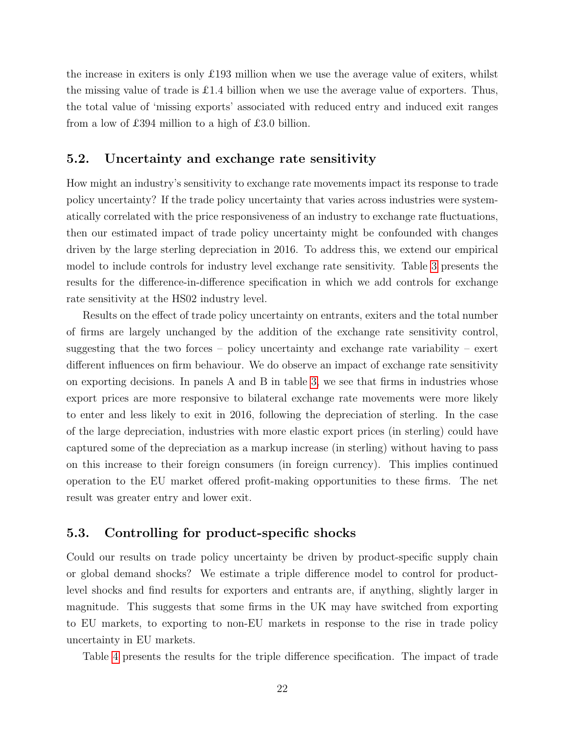the increase in exiters is only £193 million when we use the average value of exiters, whilst the missing value of trade is  $\pounds$ 1.4 billion when we use the average value of exporters. Thus, the total value of 'missing exports' associated with reduced entry and induced exit ranges from a low of £394 million to a high of £3.0 billion.

### <span id="page-23-0"></span>5.2. Uncertainty and exchange rate sensitivity

How might an industry's sensitivity to exchange rate movements impact its response to trade policy uncertainty? If the trade policy uncertainty that varies across industries were systematically correlated with the price responsiveness of an industry to exchange rate fluctuations, then our estimated impact of trade policy uncertainty might be confounded with changes driven by the large sterling depreciation in 2016. To address this, we extend our empirical model to include controls for industry level exchange rate sensitivity. Table [3](#page-24-0) presents the results for the difference-in-difference specification in which we add controls for exchange rate sensitivity at the HS02 industry level.

Results on the effect of trade policy uncertainty on entrants, exiters and the total number of firms are largely unchanged by the addition of the exchange rate sensitivity control, suggesting that the two forces – policy uncertainty and exchange rate variability – exert different influences on firm behaviour. We do observe an impact of exchange rate sensitivity on exporting decisions. In panels A and B in table [3,](#page-24-0) we see that firms in industries whose export prices are more responsive to bilateral exchange rate movements were more likely to enter and less likely to exit in 2016, following the depreciation of sterling. In the case of the large depreciation, industries with more elastic export prices (in sterling) could have captured some of the depreciation as a markup increase (in sterling) without having to pass on this increase to their foreign consumers (in foreign currency). This implies continued operation to the EU market offered profit-making opportunities to these firms. The net result was greater entry and lower exit.

## 5.3. Controlling for product-specific shocks

Could our results on trade policy uncertainty be driven by product-specific supply chain or global demand shocks? We estimate a triple difference model to control for productlevel shocks and find results for exporters and entrants are, if anything, slightly larger in magnitude. This suggests that some firms in the UK may have switched from exporting to EU markets, to exporting to non-EU markets in response to the rise in trade policy uncertainty in EU markets.

Table [4](#page-25-0) presents the results for the triple difference specification. The impact of trade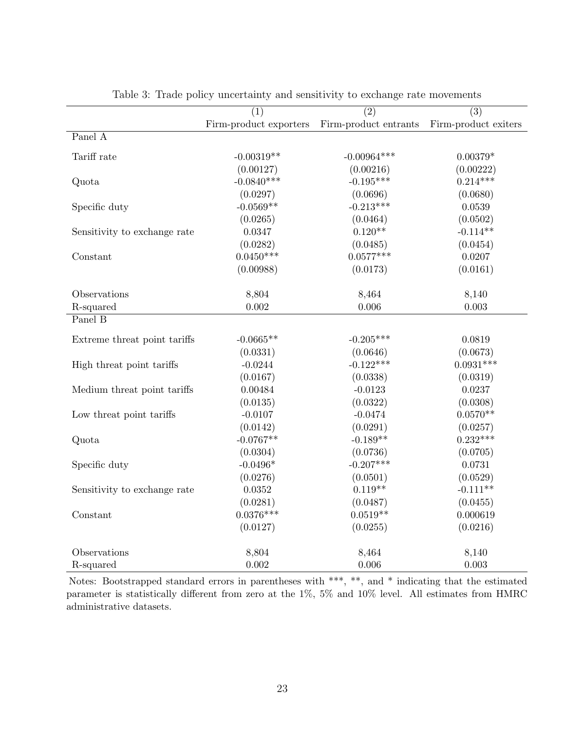<span id="page-24-0"></span>

|                              | (1)                     | $\overline{(2)}$        | $\overline{(3)}$        |
|------------------------------|-------------------------|-------------------------|-------------------------|
|                              | Firm-product exporters  | Firm-product entrants   | Firm-product exiters    |
| Panel A                      |                         |                         |                         |
| Tariff rate                  | $-0.00319**$            | $-0.00964***$           | $0.00379*$              |
|                              | (0.00127)               | (0.00216)               | (0.00222)               |
| Quota                        | $-0.0840***$            | $-0.195***$             | $0.214***$              |
|                              | (0.0297)                | (0.0696)                | (0.0680)                |
| Specific duty                | $-0.0569**$             | $-0.213***$             | 0.0539                  |
|                              | (0.0265)                | (0.0464)                | (0.0502)                |
| Sensitivity to exchange rate | 0.0347                  | $0.120**$               | $-0.114**$              |
|                              | (0.0282)                | (0.0485)                | (0.0454)                |
| Constant                     | $0.0450***$             | $0.0577***$             | 0.0207                  |
|                              | (0.00988)               | (0.0173)                | (0.0161)                |
|                              |                         |                         |                         |
| Observations                 | 8,804                   | 8,464                   | 8,140                   |
| R-squared                    | 0.002                   | 0.006                   | 0.003                   |
| Panel B                      |                         |                         |                         |
|                              |                         |                         |                         |
| Extreme threat point tariffs | $-0.0665**$             | $-0.205***$             | 0.0819                  |
|                              | (0.0331)                | (0.0646)<br>$-0.122***$ | (0.0673)<br>$0.0931***$ |
| High threat point tariffs    | $-0.0244$               |                         |                         |
|                              | (0.0167)                | (0.0338)                | (0.0319)                |
| Medium threat point tariffs  | 0.00484                 | $-0.0123$               | 0.0237                  |
|                              | (0.0135)                | (0.0322)                | (0.0308)                |
| Low threat point tariffs     | $-0.0107$               | $-0.0474$               | $0.0570**$              |
|                              | (0.0142)<br>$-0.0767**$ | (0.0291)<br>$-0.189**$  | (0.0257)<br>$0.232***$  |
| Quota                        |                         |                         |                         |
|                              | (0.0304)<br>$-0.0496*$  | (0.0736)<br>$-0.207***$ | (0.0705)<br>0.0731      |
| Specific duty                |                         |                         |                         |
|                              | (0.0276)                | (0.0501)<br>$0.119**$   | (0.0529)                |
| Sensitivity to exchange rate | 0.0352                  |                         | $-0.111**$              |
|                              | (0.0281)                | (0.0487)                | (0.0455)                |
| Constant                     | $0.0376***$             | $0.0519**$              | 0.000619                |
|                              | (0.0127)                | (0.0255)                | (0.0216)                |
| Observations                 | 8,804                   | 8,464                   | 8,140                   |
| R-squared                    | 0.002                   | 0.006                   | 0.003                   |

Table 3: Trade policy uncertainty and sensitivity to exchange rate movements

Notes: Bootstrapped standard errors in parentheses with \*\*\*, \*\*, and \* indicating that the estimated parameter is statistically different from zero at the 1%, 5% and 10% level. All estimates from HMRC administrative datasets.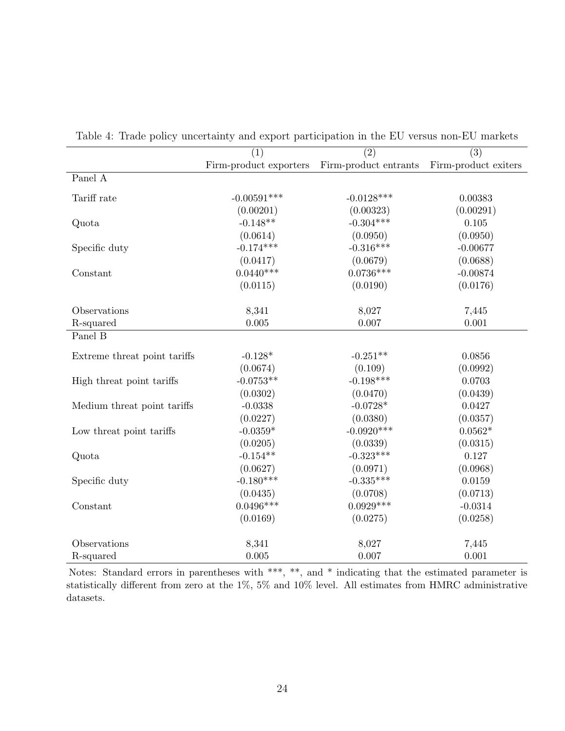|                              | (1)                    | (2)                   | (3)                  |
|------------------------------|------------------------|-----------------------|----------------------|
|                              | Firm-product exporters | Firm-product entrants | Firm-product exiters |
| Panel A                      |                        |                       |                      |
| Tariff rate                  | $-0.00591***$          | $-0.0128***$          | 0.00383              |
|                              | (0.00201)              | (0.00323)             | (0.00291)            |
| Quota                        | $-0.148**$             | $-0.304***$           | 0.105                |
|                              | (0.0614)               | (0.0950)              | (0.0950)             |
| Specific duty                | $-0.174***$            | $-0.316***$           | $-0.00677$           |
|                              | (0.0417)               | (0.0679)              | (0.0688)             |
| Constant                     | $0.0440***$            | $0.0736***$           | $-0.00874$           |
|                              | (0.0115)               | (0.0190)              | (0.0176)             |
| Observations                 | 8,341                  | 8,027                 | 7,445                |
| R-squared                    | 0.005                  | 0.007                 | 0.001                |
| Panel B                      |                        |                       |                      |
| Extreme threat point tariffs | $-0.128*$              | $-0.251**$            | 0.0856               |
|                              | (0.0674)               | (0.109)               | (0.0992)             |
| High threat point tariffs    | $-0.0753**$            | $-0.198***$           | 0.0703               |
|                              | (0.0302)               | (0.0470)              | (0.0439)             |
| Medium threat point tariffs  | $-0.0338$              | $-0.0728*$            | 0.0427               |
|                              | (0.0227)               | (0.0380)              | (0.0357)             |
| Low threat point tariffs     | $-0.0359*$             | $-0.0920***$          | $0.0562*$            |
|                              | (0.0205)               | (0.0339)              | (0.0315)             |
| Quota                        | $-0.154**$             | $-0.323***$           | 0.127                |
|                              | (0.0627)               | (0.0971)              | (0.0968)             |
| Specific duty                | $-0.180***$            | $-0.335***$           | 0.0159               |
|                              | (0.0435)               | (0.0708)              | (0.0713)             |
| Constant                     | $0.0496***$            | $0.0929***$           | $-0.0314$            |
|                              | (0.0169)               | (0.0275)              | (0.0258)             |
| Observations                 | 8,341                  | 8,027                 | 7,445                |
| R-squared                    | 0.005                  | 0.007                 | 0.001                |

<span id="page-25-0"></span>Table 4: Trade policy uncertainty and export participation in the EU versus non-EU markets

Notes: Standard errors in parentheses with \*\*\*, \*\*, and \* indicating that the estimated parameter is statistically different from zero at the 1%, 5% and 10% level. All estimates from HMRC administrative datasets.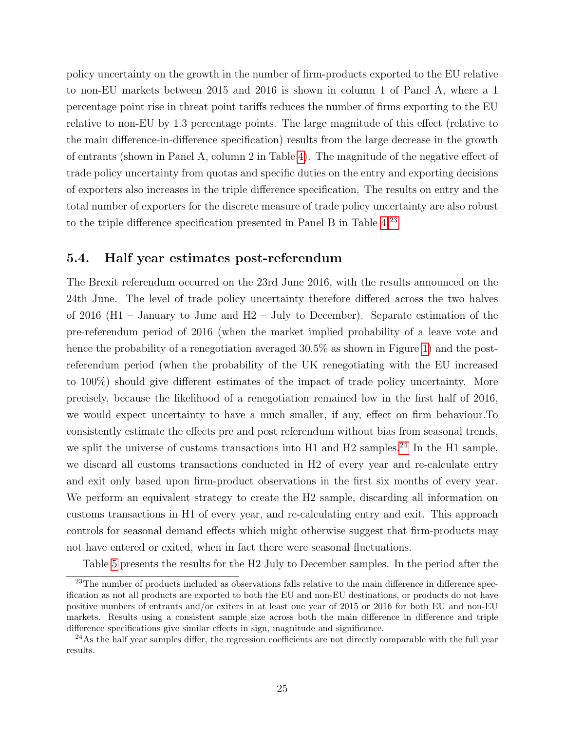policy uncertainty on the growth in the number of firm-products exported to the EU relative to non-EU markets between 2015 and 2016 is shown in column 1 of Panel A, where a 1 percentage point rise in threat point tariffs reduces the number of firms exporting to the EU relative to non-EU by 1.3 percentage points. The large magnitude of this effect (relative to the main difference-in-difference specification) results from the large decrease in the growth of entrants (shown in Panel A, column 2 in Table [4\)](#page-25-0). The magnitude of the negative effect of trade policy uncertainty from quotas and specific duties on the entry and exporting decisions of exporters also increases in the triple difference specification. The results on entry and the total number of exporters for the discrete measure of trade policy uncertainty are also robust to the triple difference specification presented in Panel B in Table [4.](#page-25-0)[23](#page-26-0)

### 5.4. Half year estimates post-referendum

The Brexit referendum occurred on the 23rd June 2016, with the results announced on the 24th June. The level of trade policy uncertainty therefore differed across the two halves of 2016 (H1 – January to June and H2 – July to December). Separate estimation of the pre-referendum period of 2016 (when the market implied probability of a leave vote and hence the probability of a renegotiation averaged  $30.5\%$  as shown in Figure [1\)](#page-10-0) and the postreferendum period (when the probability of the UK renegotiating with the EU increased to 100%) should give different estimates of the impact of trade policy uncertainty. More precisely, because the likelihood of a renegotiation remained low in the first half of 2016, we would expect uncertainty to have a much smaller, if any, effect on firm behaviour.To consistently estimate the effects pre and post referendum without bias from seasonal trends, we split the universe of customs transactions into H1 and H2 samples.<sup>[24](#page-26-1)</sup> In the H1 sample, we discard all customs transactions conducted in H2 of every year and re-calculate entry and exit only based upon firm-product observations in the first six months of every year. We perform an equivalent strategy to create the H2 sample, discarding all information on customs transactions in H1 of every year, and re-calculating entry and exit. This approach controls for seasonal demand effects which might otherwise suggest that firm-products may not have entered or exited, when in fact there were seasonal fluctuations.

<span id="page-26-0"></span>Table [5](#page-27-0) presents the results for the H2 July to December samples. In the period after the

<sup>&</sup>lt;sup>23</sup>The number of products included as observations falls relative to the main difference in difference specification as not all products are exported to both the EU and non-EU destinations, or products do not have positive numbers of entrants and/or exiters in at least one year of 2015 or 2016 for both EU and non-EU markets. Results using a consistent sample size across both the main difference in difference and triple difference specifications give similar effects in sign, magnitude and significance.

<span id="page-26-1"></span> $^{24}$ As the half year samples differ, the regression coefficients are not directly comparable with the full year results.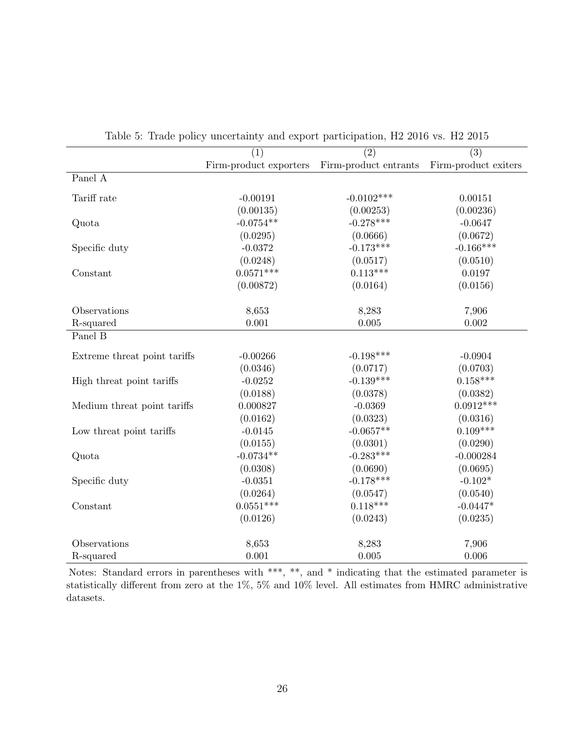<span id="page-27-0"></span>

|                              | (1)                    | (2)                   | (3)                  |
|------------------------------|------------------------|-----------------------|----------------------|
|                              | Firm-product exporters | Firm-product entrants | Firm-product exiters |
| Panel A                      |                        |                       |                      |
| Tariff rate                  | $-0.00191$             | $-0.0102***$          | 0.00151              |
|                              | (0.00135)              | (0.00253)             | (0.00236)            |
| Quota                        | $-0.0754**$            | $-0.278***$           | $-0.0647$            |
|                              | (0.0295)               | (0.0666)              | (0.0672)             |
| Specific duty                | $-0.0372$              | $-0.173***$           | $-0.166***$          |
|                              | (0.0248)               | (0.0517)              | (0.0510)             |
| Constant                     | $0.0571***$            | $0.113***$            | 0.0197               |
|                              | (0.00872)              | (0.0164)              | (0.0156)             |
| Observations                 | 8,653                  | 8,283                 | 7,906                |
| R-squared                    | 0.001                  | 0.005                 | 0.002                |
| $P\overline{\text{anel }B}$  |                        |                       |                      |
|                              |                        |                       |                      |
| Extreme threat point tariffs | $-0.00266$             | $-0.198***$           | $-0.0904$            |
|                              | (0.0346)               | (0.0717)              | (0.0703)             |
| High threat point tariffs    | $-0.0252$              | $-0.139***$           | $0.158***$           |
|                              | (0.0188)               | (0.0378)              | (0.0382)             |
| Medium threat point tariffs  | 0.000827               | $-0.0369$             | $0.0912***$          |
|                              | (0.0162)               | (0.0323)              | (0.0316)             |
| Low threat point tariffs     | $-0.0145$              | $-0.0657**$           | $0.109***$           |
|                              | (0.0155)               | (0.0301)              | (0.0290)             |
| Quota                        | $-0.0734**$            | $-0.283***$           | $-0.000284$          |
|                              | (0.0308)               | (0.0690)              | (0.0695)             |
| Specific duty                | $-0.0351$              | $-0.178***$           | $-0.102*$            |
|                              | (0.0264)               | (0.0547)              | (0.0540)             |
| Constant                     | $0.0551***$            | $0.118***$            | $-0.0447*$           |
|                              | (0.0126)               | (0.0243)              | (0.0235)             |
| Observations                 | 8,653                  | 8,283                 | 7,906                |
| R-squared                    | 0.001                  | 0.005                 | 0.006                |

Table 5: Trade policy uncertainty and export participation, H2 2016 vs. H2 2015

Notes: Standard errors in parentheses with \*\*\*, \*\*, and \* indicating that the estimated parameter is statistically different from zero at the 1%, 5% and 10% level. All estimates from HMRC administrative datasets.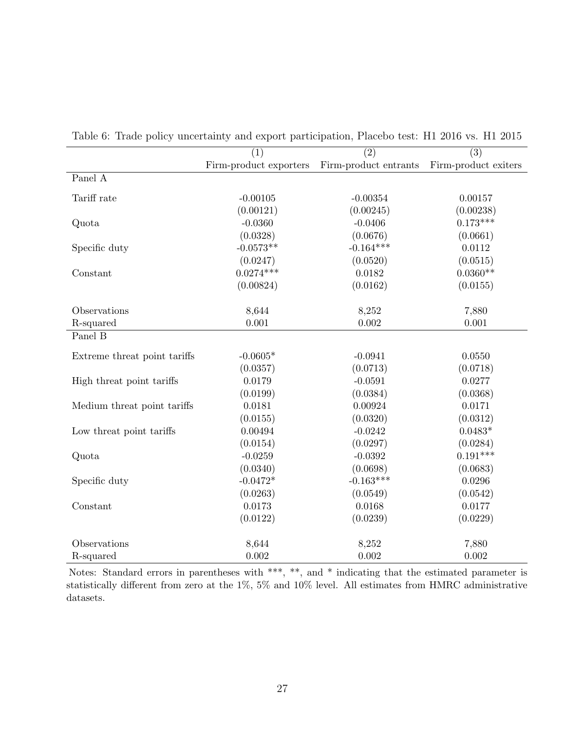|                              | (1)                    | $\overline{(2)}$      | (3)                  |
|------------------------------|------------------------|-----------------------|----------------------|
|                              | Firm-product exporters | Firm-product entrants | Firm-product exiters |
| Panel A                      |                        |                       |                      |
| Tariff rate                  | $-0.00105$             | $-0.00354$            | 0.00157              |
|                              | (0.00121)              | (0.00245)             | (0.00238)            |
|                              | $-0.0360$              | $-0.0406$             | $0.173***$           |
| Quota                        |                        |                       |                      |
|                              | (0.0328)               | (0.0676)              | (0.0661)             |
| Specific duty                | $-0.0573**$            | $-0.164***$           | 0.0112               |
|                              | (0.0247)               | (0.0520)              | (0.0515)             |
| Constant                     | $0.0274***$            | 0.0182                | $0.0360**$           |
|                              | (0.00824)              | (0.0162)              | (0.0155)             |
| Observations                 | 8,644                  | 8,252                 | 7,880                |
| R-squared                    | 0.001                  | 0.002                 | 0.001                |
| Panel B                      |                        |                       |                      |
|                              |                        |                       |                      |
| Extreme threat point tariffs | $-0.0605*$             | $-0.0941$             | 0.0550               |
|                              | (0.0357)               | (0.0713)              | (0.0718)             |
| High threat point tariffs    | 0.0179                 | $-0.0591$             | 0.0277               |
|                              | (0.0199)               | (0.0384)              | (0.0368)             |
| Medium threat point tariffs  | 0.0181                 | 0.00924               | 0.0171               |
|                              | (0.0155)               | (0.0320)              | (0.0312)             |
| Low threat point tariffs     | 0.00494                | $-0.0242$             | $0.0483*$            |
|                              | (0.0154)               | (0.0297)              | (0.0284)             |
| Quota                        | $-0.0259$              | $-0.0392$             | $0.191***$           |
|                              | (0.0340)               | (0.0698)              | (0.0683)             |
| Specific duty                | $-0.0472*$             | $-0.163***$           | 0.0296               |
|                              | (0.0263)               | (0.0549)              | (0.0542)             |
| Constant                     | 0.0173                 | 0.0168                | 0.0177               |
|                              | (0.0122)               | (0.0239)              | (0.0229)             |
| Observations                 | 8,644                  | 8,252                 | 7,880                |
| R-squared                    | 0.002                  | 0.002                 | 0.002                |

<span id="page-28-0"></span>Table 6: Trade policy uncertainty and export participation, Placebo test: H1 2016 vs. H1 2015

Notes: Standard errors in parentheses with \*\*\*, \*\*, and \* indicating that the estimated parameter is statistically different from zero at the 1%, 5% and 10% level. All estimates from HMRC administrative datasets.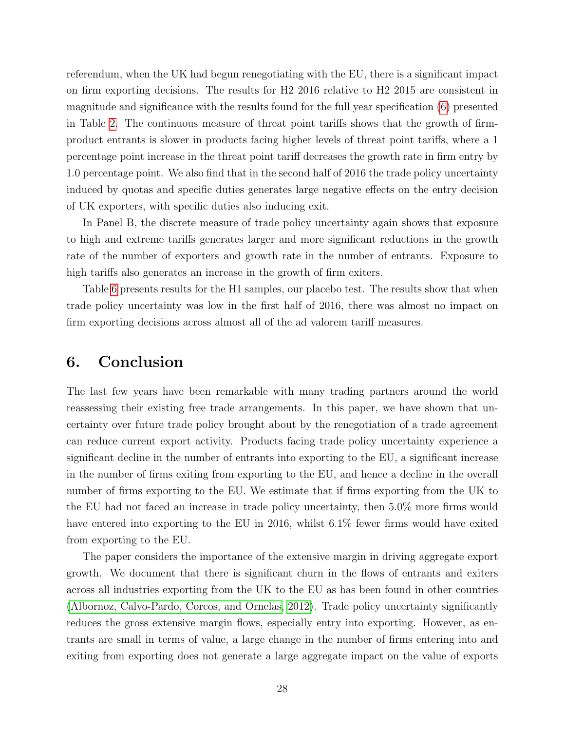referendum, when the UK had begun renegotiating with the EU, there is a significant impact on firm exporting decisions. The results for H2 2016 relative to H2 2015 are consistent in magnitude and significance with the results found for the full year specification [\(6\)](#page-12-1) presented in Table [2.](#page-20-0) The continuous measure of threat point tariffs shows that the growth of firmproduct entrants is slower in products facing higher levels of threat point tariffs, where a 1 percentage point increase in the threat point tariff decreases the growth rate in firm entry by 1.0 percentage point. We also find that in the second half of 2016 the trade policy uncertainty induced by quotas and specific duties generates large negative effects on the entry decision of UK exporters, with specific duties also inducing exit.

In Panel B, the discrete measure of trade policy uncertainty again shows that exposure to high and extreme tariffs generates larger and more significant reductions in the growth rate of the number of exporters and growth rate in the number of entrants. Exposure to high tariffs also generates an increase in the growth of firm exiters.

Table [6](#page-28-0) presents results for the H1 samples, our placebo test. The results show that when trade policy uncertainty was low in the first half of 2016, there was almost no impact on firm exporting decisions across almost all of the ad valorem tariff measures.

## 6. Conclusion

The last few years have been remarkable with many trading partners around the world reassessing their existing free trade arrangements. In this paper, we have shown that uncertainty over future trade policy brought about by the renegotiation of a trade agreement can reduce current export activity. Products facing trade policy uncertainty experience a significant decline in the number of entrants into exporting to the EU, a significant increase in the number of firms exiting from exporting to the EU, and hence a decline in the overall number of firms exporting to the EU. We estimate that if firms exporting from the UK to the EU had not faced an increase in trade policy uncertainty, then 5.0% more firms would have entered into exporting to the EU in 2016, whilst 6.1% fewer firms would have exited from exporting to the EU.

The paper considers the importance of the extensive margin in driving aggregate export growth. We document that there is significant churn in the flows of entrants and exiters across all industries exporting from the UK to the EU as has been found in other countries [\(Albornoz, Calvo-Pardo, Corcos, and Ornelas, 2012\)](#page-33-11). Trade policy uncertainty significantly reduces the gross extensive margin flows, especially entry into exporting. However, as entrants are small in terms of value, a large change in the number of firms entering into and exiting from exporting does not generate a large aggregate impact on the value of exports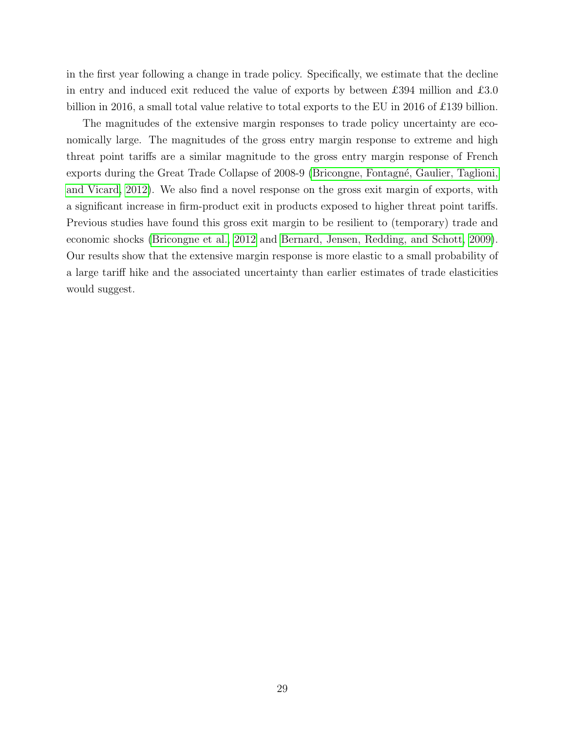in the first year following a change in trade policy. Specifically, we estimate that the decline in entry and induced exit reduced the value of exports by between £394 million and £3.0 billion in 2016, a small total value relative to total exports to the EU in 2016 of £139 billion.

The magnitudes of the extensive margin responses to trade policy uncertainty are economically large. The magnitudes of the gross entry margin response to extreme and high threat point tariffs are a similar magnitude to the gross entry margin response of French exports during the Great Trade Collapse of 2008-9 (Bricongne, Fontagné, Gaulier, Taglioni, [and Vicard, 2012\)](#page-33-12). We also find a novel response on the gross exit margin of exports, with a significant increase in firm-product exit in products exposed to higher threat point tariffs. Previous studies have found this gross exit margin to be resilient to (temporary) trade and economic shocks [\(Bricongne et al., 2012](#page-33-12) and [Bernard, Jensen, Redding, and Schott, 2009\)](#page-33-13). Our results show that the extensive margin response is more elastic to a small probability of a large tariff hike and the associated uncertainty than earlier estimates of trade elasticities would suggest.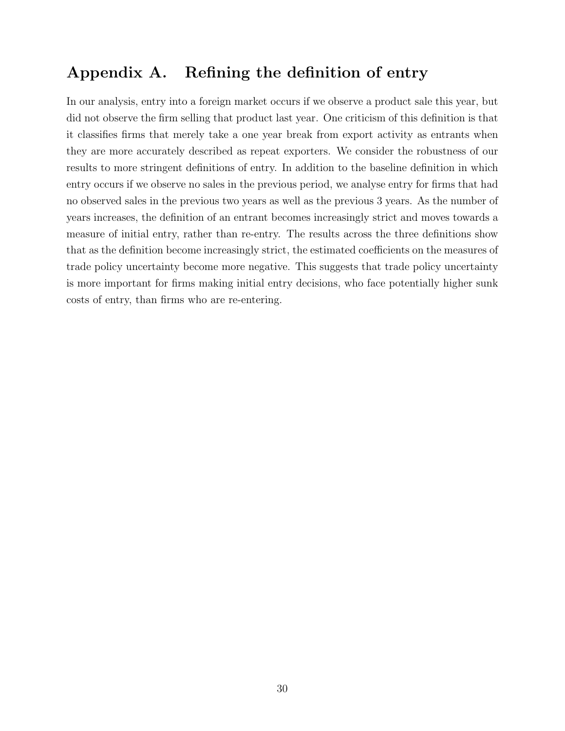# Appendix A. Refining the definition of entry

In our analysis, entry into a foreign market occurs if we observe a product sale this year, but did not observe the firm selling that product last year. One criticism of this definition is that it classifies firms that merely take a one year break from export activity as entrants when they are more accurately described as repeat exporters. We consider the robustness of our results to more stringent definitions of entry. In addition to the baseline definition in which entry occurs if we observe no sales in the previous period, we analyse entry for firms that had no observed sales in the previous two years as well as the previous 3 years. As the number of years increases, the definition of an entrant becomes increasingly strict and moves towards a measure of initial entry, rather than re-entry. The results across the three definitions show that as the definition become increasingly strict, the estimated coefficients on the measures of trade policy uncertainty become more negative. This suggests that trade policy uncertainty is more important for firms making initial entry decisions, who face potentially higher sunk costs of entry, than firms who are re-entering.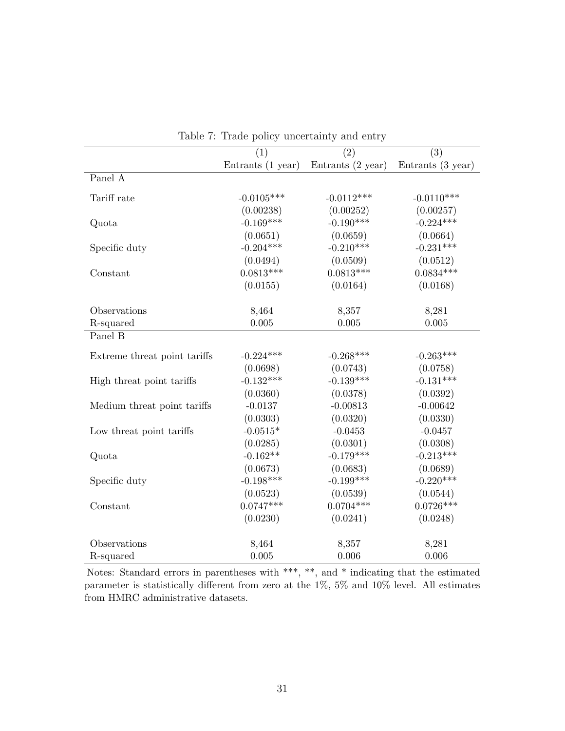<span id="page-32-0"></span>

|                              | (1)               | (2)               | (3)               |
|------------------------------|-------------------|-------------------|-------------------|
|                              | Entrants (1 year) | Entrants (2 year) | Entrants (3 year) |
| Panel A                      |                   |                   |                   |
| Tariff rate                  | $-0.0105***$      | $-0.0112***$      | $-0.0110***$      |
|                              | (0.00238)         | (0.00252)         | (0.00257)         |
| Quota                        | $-0.169***$       | $-0.190***$       | $-0.224***$       |
|                              | (0.0651)          | (0.0659)          | (0.0664)          |
| Specific duty                | $-0.204***$       | $-0.210***$       | $-0.231***$       |
|                              | (0.0494)          | (0.0509)          | (0.0512)          |
| Constant                     | $0.0813***$       | $0.0813***$       | $0.0834***$       |
|                              | (0.0155)          | (0.0164)          | (0.0168)          |
|                              |                   |                   |                   |
| Observations                 | 8,464             | 8,357             | 8,281             |
| R-squared                    | 0.005             | 0.005             | 0.005             |
| Panel B                      |                   |                   |                   |
|                              |                   |                   |                   |
| Extreme threat point tariffs | $-0.224***$       | $-0.268***$       | $-0.263***$       |
|                              | (0.0698)          | (0.0743)          | (0.0758)          |
| High threat point tariffs    | $-0.132***$       | $-0.139***$       | $-0.131***$       |
|                              | (0.0360)          | (0.0378)          | (0.0392)          |
| Medium threat point tariffs  | $-0.0137$         | $-0.00813$        | $-0.00642$        |
|                              | (0.0303)          | (0.0320)          | (0.0330)          |
| Low threat point tariffs     | $-0.0515*$        | $-0.0453$         | $-0.0457$         |
|                              | (0.0285)          | (0.0301)          | (0.0308)          |
| Quota                        | $-0.162**$        | $-0.179***$       | $-0.213***$       |
|                              | (0.0673)          | (0.0683)          | (0.0689)          |
| Specific duty                | $-0.198***$       | $-0.199***$       | $-0.220***$       |
|                              | (0.0523)          | (0.0539)          | (0.0544)          |
| Constant                     | $0.0747***$       | $0.0704***$       | $0.0726***$       |
|                              | (0.0230)          | (0.0241)          | (0.0248)          |
| Observations                 | 8,464             | 8,357             | 8,281             |
| R-squared                    | 0.005             | 0.006             | 0.006             |

Table 7: Trade policy uncertainty and entry

Notes: Standard errors in parentheses with \*\*\*, \*\*, and \* indicating that the estimated parameter is statistically different from zero at the 1%, 5% and 10% level. All estimates from HMRC administrative datasets.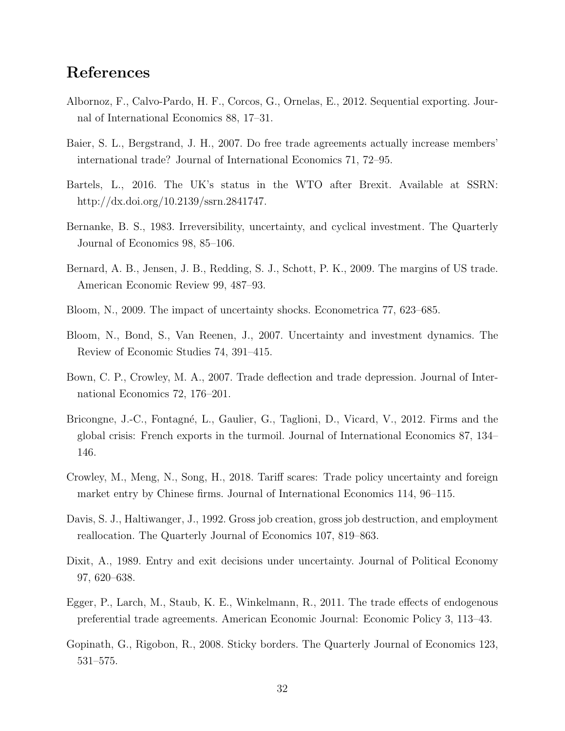# References

- <span id="page-33-11"></span>Albornoz, F., Calvo-Pardo, H. F., Corcos, G., Ornelas, E., 2012. Sequential exporting. Journal of International Economics 88, 17–31.
- <span id="page-33-1"></span>Baier, S. L., Bergstrand, J. H., 2007. Do free trade agreements actually increase members' international trade? Journal of International Economics 71, 72–95.
- <span id="page-33-8"></span>Bartels, L., 2016. The UK's status in the WTO after Brexit. Available at SSRN: http://dx.doi.org/10.2139/ssrn.2841747.
- <span id="page-33-4"></span>Bernanke, B. S., 1983. Irreversibility, uncertainty, and cyclical investment. The Quarterly Journal of Economics 98, 85–106.
- <span id="page-33-13"></span>Bernard, A. B., Jensen, J. B., Redding, S. J., Schott, P. K., 2009. The margins of US trade. American Economic Review 99, 487–93.
- <span id="page-33-7"></span>Bloom, N., 2009. The impact of uncertainty shocks. Econometrica 77, 623–685.
- <span id="page-33-6"></span>Bloom, N., Bond, S., Van Reenen, J., 2007. Uncertainty and investment dynamics. The Review of Economic Studies 74, 391–415.
- <span id="page-33-3"></span>Bown, C. P., Crowley, M. A., 2007. Trade deflection and trade depression. Journal of International Economics 72, 176–201.
- <span id="page-33-12"></span>Bricongne, J.-C., Fontagné, L., Gaulier, G., Taglioni, D., Vicard, V., 2012. Firms and the global crisis: French exports in the turmoil. Journal of International Economics 87, 134– 146.
- <span id="page-33-0"></span>Crowley, M., Meng, N., Song, H., 2018. Tariff scares: Trade policy uncertainty and foreign market entry by Chinese firms. Journal of International Economics 114, 96–115.
- <span id="page-33-10"></span>Davis, S. J., Haltiwanger, J., 1992. Gross job creation, gross job destruction, and employment reallocation. The Quarterly Journal of Economics 107, 819–863.
- <span id="page-33-5"></span>Dixit, A., 1989. Entry and exit decisions under uncertainty. Journal of Political Economy 97, 620–638.
- <span id="page-33-2"></span>Egger, P., Larch, M., Staub, K. E., Winkelmann, R., 2011. The trade effects of endogenous preferential trade agreements. American Economic Journal: Economic Policy 3, 113–43.
- <span id="page-33-9"></span>Gopinath, G., Rigobon, R., 2008. Sticky borders. The Quarterly Journal of Economics 123, 531–575.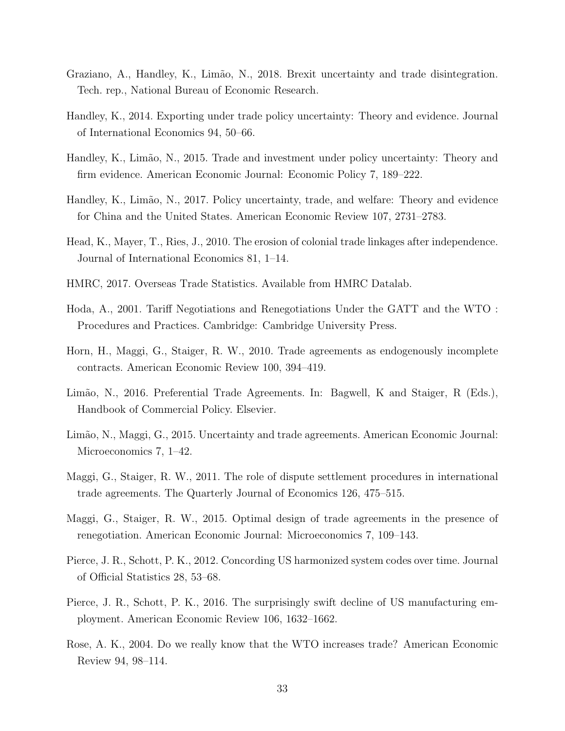- <span id="page-34-12"></span>Graziano, A., Handley, K., Limão, N., 2018. Brexit uncertainty and trade disintegration. Tech. rep., National Bureau of Economic Research.
- <span id="page-34-11"></span>Handley, K., 2014. Exporting under trade policy uncertainty: Theory and evidence. Journal of International Economics 94, 50–66.
- <span id="page-34-1"></span>Handley, K., Limão, N., 2015. Trade and investment under policy uncertainty: Theory and firm evidence. American Economic Journal: Economic Policy 7, 189–222.
- <span id="page-34-2"></span>Handley, K., Limão, N., 2017. Policy uncertainty, trade, and welfare: Theory and evidence for China and the United States. American Economic Review 107, 2731–2783.
- <span id="page-34-6"></span>Head, K., Mayer, T., Ries, J., 2010. The erosion of colonial trade linkages after independence. Journal of International Economics 81, 1–14.
- <span id="page-34-13"></span>HMRC, 2017. Overseas Trade Statistics. Available from HMRC Datalab.
- <span id="page-34-3"></span>Hoda, A., 2001. Tariff Negotiations and Renegotiations Under the GATT and the WTO : Procedures and Practices. Cambridge: Cambridge University Press.
- <span id="page-34-8"></span>Horn, H., Maggi, G., Staiger, R. W., 2010. Trade agreements as endogenously incomplete contracts. American Economic Review 100, 394–419.
- <span id="page-34-5"></span>Limão, N., 2016. Preferential Trade Agreements. In: Bagwell, K and Staiger, R (Eds.), Handbook of Commercial Policy. Elsevier.
- <span id="page-34-0"></span>Limão, N., Maggi, G., 2015. Uncertainty and trade agreements. American Economic Journal: Microeconomics 7, 1–42.
- <span id="page-34-9"></span>Maggi, G., Staiger, R. W., 2011. The role of dispute settlement procedures in international trade agreements. The Quarterly Journal of Economics 126, 475–515.
- <span id="page-34-7"></span>Maggi, G., Staiger, R. W., 2015. Optimal design of trade agreements in the presence of renegotiation. American Economic Journal: Microeconomics 7, 109–143.
- <span id="page-34-14"></span>Pierce, J. R., Schott, P. K., 2012. Concording US harmonized system codes over time. Journal of Official Statistics 28, 53–68.
- <span id="page-34-10"></span>Pierce, J. R., Schott, P. K., 2016. The surprisingly swift decline of US manufacturing employment. American Economic Review 106, 1632–1662.
- <span id="page-34-4"></span>Rose, A. K., 2004. Do we really know that the WTO increases trade? American Economic Review 94, 98–114.